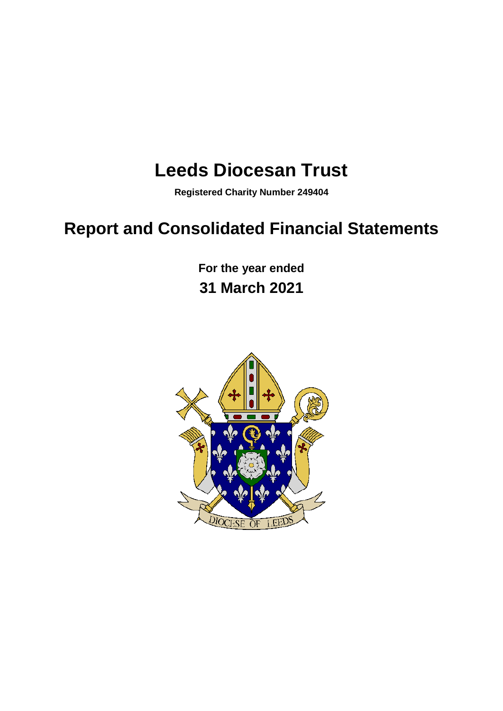# **Leeds Diocesan Trust**

**Registered Charity Number 249404**

# **Report and Consolidated Financial Statements**

**For the year ended 31 March 2021**

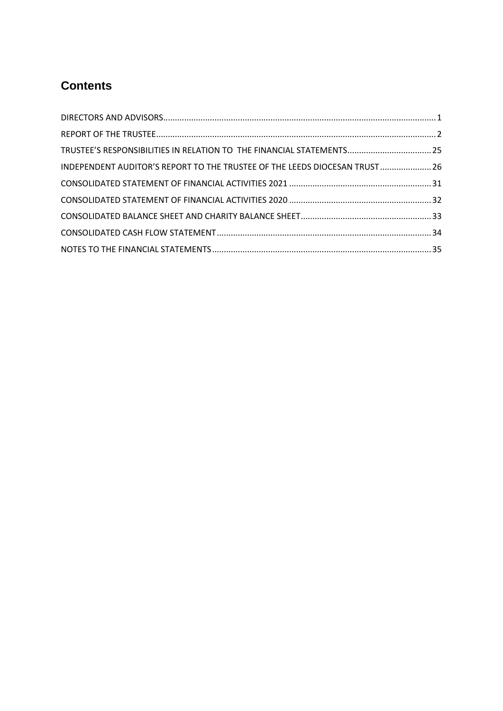## **Contents**

| TRUSTEE'S RESPONSIBILITIES IN RELATION TO THE FINANCIAL STATEMENTS 25       |  |
|-----------------------------------------------------------------------------|--|
| INDEPENDENT AUDITOR'S REPORT TO THE TRUSTEE OF THE LEEDS DIOCESAN TRUST  26 |  |
|                                                                             |  |
|                                                                             |  |
|                                                                             |  |
|                                                                             |  |
|                                                                             |  |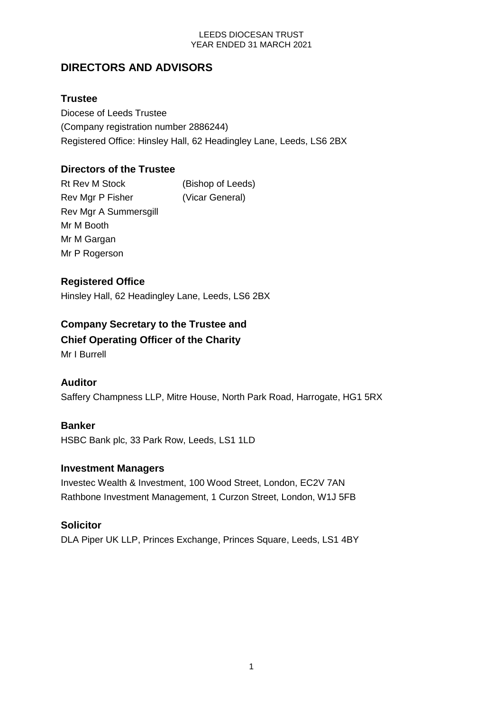## <span id="page-2-0"></span>**DIRECTORS AND ADVISORS**

### **Trustee**

Diocese of Leeds Trustee (Company registration number 2886244) Registered Office: Hinsley Hall, 62 Headingley Lane, Leeds, LS6 2BX

### **Directors of the Trustee**

Rt Rev M Stock (Bishop of Leeds) Rev Mgr P Fisher (Vicar General) Rev Mgr A Summersgill Mr M Booth Mr M Gargan Mr P Rogerson

### **Registered Office**

Hinsley Hall, 62 Headingley Lane, Leeds, LS6 2BX

# **Company Secretary to the Trustee and**

**Chief Operating Officer of the Charity**

Mr I Burrell

### **Auditor**

Saffery Champness LLP, Mitre House, North Park Road, Harrogate, HG1 5RX

### **Banker**

HSBC Bank plc, 33 Park Row, Leeds, LS1 1LD

### **Investment Managers**

Investec Wealth & Investment, 100 Wood Street, London, EC2V 7AN Rathbone Investment Management, 1 Curzon Street, London, W1J 5FB

### **Solicitor**

DLA Piper UK LLP, Princes Exchange, Princes Square, Leeds, LS1 4BY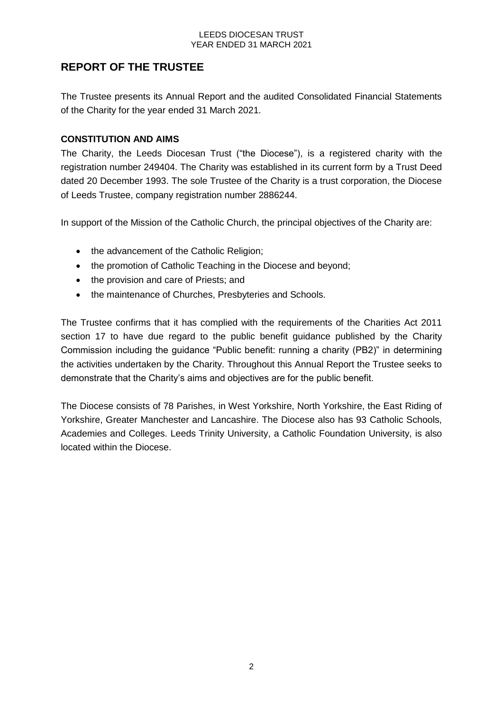## <span id="page-3-0"></span>**REPORT OF THE TRUSTEE**

The Trustee presents its Annual Report and the audited Consolidated Financial Statements of the Charity for the year ended 31 March 2021.

### **CONSTITUTION AND AIMS**

The Charity, the Leeds Diocesan Trust ("the Diocese"), is a registered charity with the registration number 249404. The Charity was established in its current form by a Trust Deed dated 20 December 1993. The sole Trustee of the Charity is a trust corporation, the Diocese of Leeds Trustee, company registration number 2886244.

In support of the Mission of the Catholic Church, the principal objectives of the Charity are:

- the advancement of the Catholic Religion;
- the promotion of Catholic Teaching in the Diocese and beyond;
- the provision and care of Priests; and
- the maintenance of Churches, Presbyteries and Schools.

The Trustee confirms that it has complied with the requirements of the Charities Act 2011 section 17 to have due regard to the public benefit guidance published by the Charity Commission including the guidance "Public benefit: running a charity (PB2)" in determining the activities undertaken by the Charity. Throughout this Annual Report the Trustee seeks to demonstrate that the Charity's aims and objectives are for the public benefit.

The Diocese consists of 78 Parishes, in West Yorkshire, North Yorkshire, the East Riding of Yorkshire, Greater Manchester and Lancashire. The Diocese also has 93 Catholic Schools, Academies and Colleges. Leeds Trinity University, a Catholic Foundation University, is also located within the Diocese.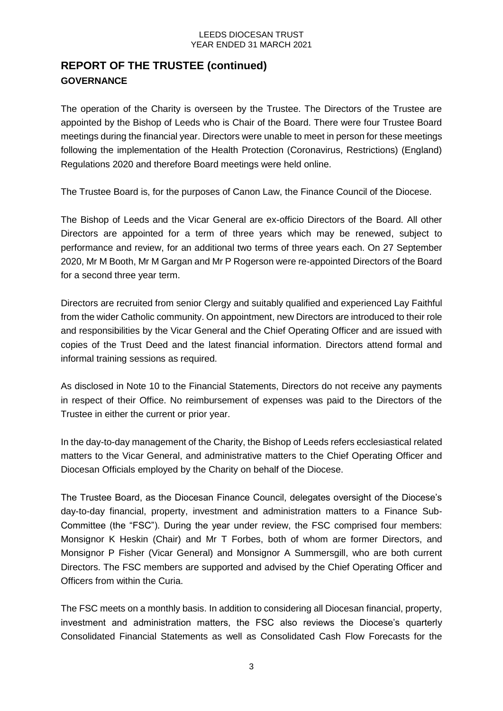## **REPORT OF THE TRUSTEE (continued) GOVERNANCE**

The operation of the Charity is overseen by the Trustee. The Directors of the Trustee are appointed by the Bishop of Leeds who is Chair of the Board. There were four Trustee Board meetings during the financial year. Directors were unable to meet in person for these meetings following the implementation of the Health Protection (Coronavirus, Restrictions) (England) Regulations 2020 and therefore Board meetings were held online.

The Trustee Board is, for the purposes of Canon Law, the Finance Council of the Diocese.

The Bishop of Leeds and the Vicar General are ex-officio Directors of the Board. All other Directors are appointed for a term of three years which may be renewed, subject to performance and review, for an additional two terms of three years each. On 27 September 2020, Mr M Booth, Mr M Gargan and Mr P Rogerson were re-appointed Directors of the Board for a second three year term.

Directors are recruited from senior Clergy and suitably qualified and experienced Lay Faithful from the wider Catholic community. On appointment, new Directors are introduced to their role and responsibilities by the Vicar General and the Chief Operating Officer and are issued with copies of the Trust Deed and the latest financial information. Directors attend formal and informal training sessions as required.

As disclosed in Note 10 to the Financial Statements, Directors do not receive any payments in respect of their Office. No reimbursement of expenses was paid to the Directors of the Trustee in either the current or prior year.

In the day-to-day management of the Charity, the Bishop of Leeds refers ecclesiastical related matters to the Vicar General, and administrative matters to the Chief Operating Officer and Diocesan Officials employed by the Charity on behalf of the Diocese.

The Trustee Board, as the Diocesan Finance Council, delegates oversight of the Diocese's day-to-day financial, property, investment and administration matters to a Finance Sub-Committee (the "FSC"). During the year under review, the FSC comprised four members: Monsignor K Heskin (Chair) and Mr T Forbes, both of whom are former Directors, and Monsignor P Fisher (Vicar General) and Monsignor A Summersgill, who are both current Directors. The FSC members are supported and advised by the Chief Operating Officer and Officers from within the Curia.

The FSC meets on a monthly basis. In addition to considering all Diocesan financial, property, investment and administration matters, the FSC also reviews the Diocese's quarterly Consolidated Financial Statements as well as Consolidated Cash Flow Forecasts for the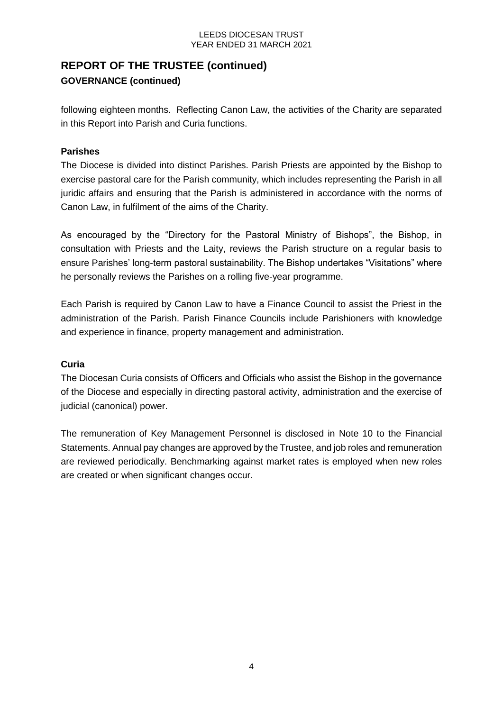# **REPORT OF THE TRUSTEE (continued)**

### **GOVERNANCE (continued)**

following eighteen months. Reflecting Canon Law, the activities of the Charity are separated in this Report into Parish and Curia functions.

### **Parishes**

The Diocese is divided into distinct Parishes. Parish Priests are appointed by the Bishop to exercise pastoral care for the Parish community, which includes representing the Parish in all juridic affairs and ensuring that the Parish is administered in accordance with the norms of Canon Law, in fulfilment of the aims of the Charity.

As encouraged by the "Directory for the Pastoral Ministry of Bishops", the Bishop, in consultation with Priests and the Laity, reviews the Parish structure on a regular basis to ensure Parishes' long-term pastoral sustainability. The Bishop undertakes "Visitations" where he personally reviews the Parishes on a rolling five-year programme.

Each Parish is required by Canon Law to have a Finance Council to assist the Priest in the administration of the Parish. Parish Finance Councils include Parishioners with knowledge and experience in finance, property management and administration.

### **Curia**

The Diocesan Curia consists of Officers and Officials who assist the Bishop in the governance of the Diocese and especially in directing pastoral activity, administration and the exercise of judicial (canonical) power.

The remuneration of Key Management Personnel is disclosed in Note 10 to the Financial Statements. Annual pay changes are approved by the Trustee, and job roles and remuneration are reviewed periodically. Benchmarking against market rates is employed when new roles are created or when significant changes occur.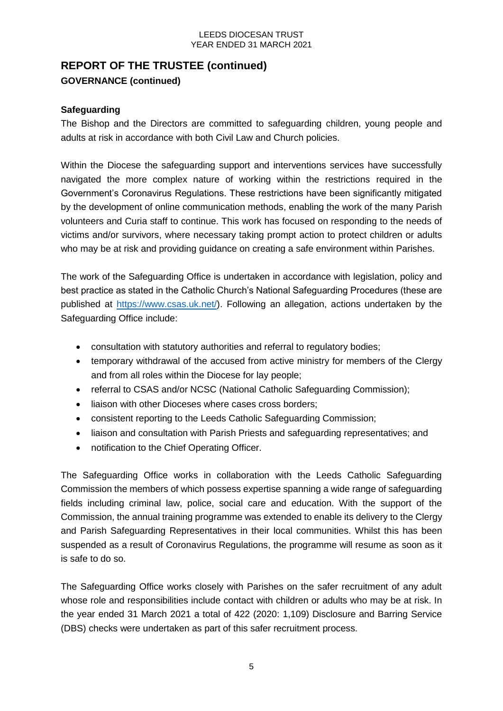## **REPORT OF THE TRUSTEE (continued)**

### **GOVERNANCE (continued)**

### **Safeguarding**

The Bishop and the Directors are committed to safeguarding children, young people and adults at risk in accordance with both Civil Law and Church policies.

Within the Diocese the safeguarding support and interventions services have successfully navigated the more complex nature of working within the restrictions required in the Government's Coronavirus Regulations. These restrictions have been significantly mitigated by the development of online communication methods, enabling the work of the many Parish volunteers and Curia staff to continue. This work has focused on responding to the needs of victims and/or survivors, where necessary taking prompt action to protect children or adults who may be at risk and providing guidance on creating a safe environment within Parishes.

The work of the Safeguarding Office is undertaken in accordance with legislation, policy and best practice as stated in the Catholic Church's National Safeguarding Procedures (these are published at [https://www.csas.uk.net/\)](https://www.csas.uk.net/). Following an allegation, actions undertaken by the Safeguarding Office include:

- consultation with statutory authorities and referral to regulatory bodies;
- temporary withdrawal of the accused from active ministry for members of the Clergy and from all roles within the Diocese for lay people;
- referral to CSAS and/or NCSC (National Catholic Safeguarding Commission);
- liaison with other Dioceses where cases cross borders:
- consistent reporting to the Leeds Catholic Safeguarding Commission;
- liaison and consultation with Parish Priests and safeguarding representatives; and
- notification to the Chief Operating Officer.

The Safeguarding Office works in collaboration with the Leeds Catholic Safeguarding Commission the members of which possess expertise spanning a wide range of safeguarding fields including criminal law, police, social care and education. With the support of the Commission, the annual training programme was extended to enable its delivery to the Clergy and Parish Safeguarding Representatives in their local communities. Whilst this has been suspended as a result of Coronavirus Regulations, the programme will resume as soon as it is safe to do so.

The Safeguarding Office works closely with Parishes on the safer recruitment of any adult whose role and responsibilities include contact with children or adults who may be at risk. In the year ended 31 March 2021 a total of 422 (2020: 1,109) Disclosure and Barring Service (DBS) checks were undertaken as part of this safer recruitment process.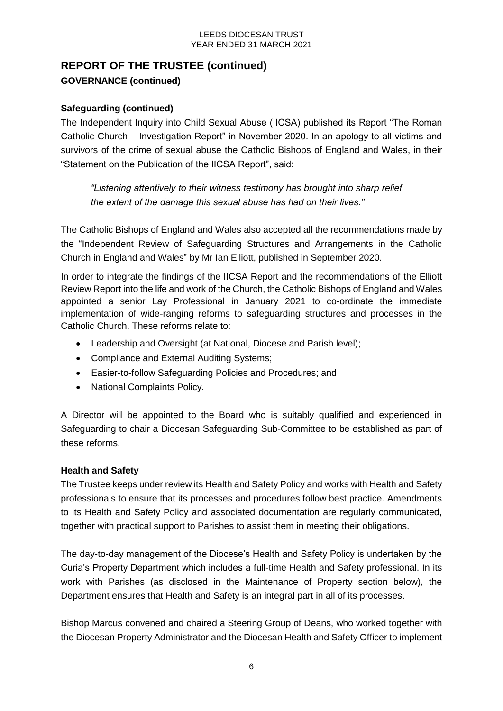## **REPORT OF THE TRUSTEE (continued)**

### **GOVERNANCE (continued)**

### **Safeguarding (continued)**

The Independent Inquiry into Child Sexual Abuse (IICSA) published its Report "The Roman Catholic Church – Investigation Report" in November 2020. In an apology to all victims and survivors of the crime of sexual abuse the Catholic Bishops of England and Wales, in their "Statement on the Publication of the IICSA Report", said:

*"Listening attentively to their witness testimony has brought into sharp relief the extent of the damage this sexual abuse has had on their lives."*

The Catholic Bishops of England and Wales also accepted all the recommendations made by the "Independent Review of Safeguarding Structures and Arrangements in the Catholic Church in England and Wales" by Mr Ian Elliott, published in September 2020.

In order to integrate the findings of the IICSA Report and the recommendations of the Elliott Review Report into the life and work of the Church, the Catholic Bishops of England and Wales appointed a senior Lay Professional in January 2021 to co-ordinate the immediate implementation of wide-ranging reforms to safeguarding structures and processes in the Catholic Church. These reforms relate to:

- Leadership and Oversight (at National, Diocese and Parish level);
- Compliance and External Auditing Systems;
- Easier-to-follow Safeguarding Policies and Procedures; and
- National Complaints Policy.

A Director will be appointed to the Board who is suitably qualified and experienced in Safeguarding to chair a Diocesan Safeguarding Sub-Committee to be established as part of these reforms.

### **Health and Safety**

The Trustee keeps under review its Health and Safety Policy and works with Health and Safety professionals to ensure that its processes and procedures follow best practice. Amendments to its Health and Safety Policy and associated documentation are regularly communicated, together with practical support to Parishes to assist them in meeting their obligations.

The day-to-day management of the Diocese's Health and Safety Policy is undertaken by the Curia's Property Department which includes a full-time Health and Safety professional. In its work with Parishes (as disclosed in the Maintenance of Property section below), the Department ensures that Health and Safety is an integral part in all of its processes.

Bishop Marcus convened and chaired a Steering Group of Deans, who worked together with the Diocesan Property Administrator and the Diocesan Health and Safety Officer to implement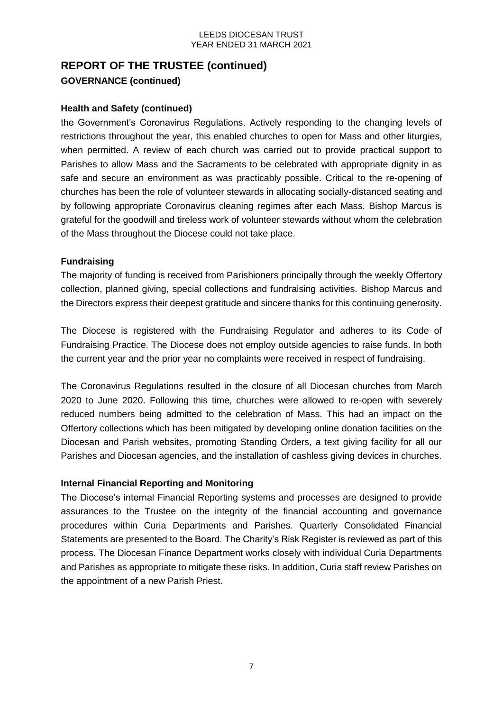## **REPORT OF THE TRUSTEE (continued)**

**GOVERNANCE (continued)**

### **Health and Safety (continued)**

the Government's Coronavirus Regulations. Actively responding to the changing levels of restrictions throughout the year, this enabled churches to open for Mass and other liturgies, when permitted. A review of each church was carried out to provide practical support to Parishes to allow Mass and the Sacraments to be celebrated with appropriate dignity in as safe and secure an environment as was practicably possible. Critical to the re-opening of churches has been the role of volunteer stewards in allocating socially-distanced seating and by following appropriate Coronavirus cleaning regimes after each Mass. Bishop Marcus is grateful for the goodwill and tireless work of volunteer stewards without whom the celebration of the Mass throughout the Diocese could not take place.

### **Fundraising**

The majority of funding is received from Parishioners principally through the weekly Offertory collection, planned giving, special collections and fundraising activities. Bishop Marcus and the Directors express their deepest gratitude and sincere thanks for this continuing generosity.

The Diocese is registered with the Fundraising Regulator and adheres to its Code of Fundraising Practice. The Diocese does not employ outside agencies to raise funds. In both the current year and the prior year no complaints were received in respect of fundraising.

The Coronavirus Regulations resulted in the closure of all Diocesan churches from March 2020 to June 2020. Following this time, churches were allowed to re-open with severely reduced numbers being admitted to the celebration of Mass. This had an impact on the Offertory collections which has been mitigated by developing online donation facilities on the Diocesan and Parish websites, promoting Standing Orders, a text giving facility for all our Parishes and Diocesan agencies, and the installation of cashless giving devices in churches.

### **Internal Financial Reporting and Monitoring**

The Diocese's internal Financial Reporting systems and processes are designed to provide assurances to the Trustee on the integrity of the financial accounting and governance procedures within Curia Departments and Parishes. Quarterly Consolidated Financial Statements are presented to the Board. The Charity's Risk Register is reviewed as part of this process. The Diocesan Finance Department works closely with individual Curia Departments and Parishes as appropriate to mitigate these risks. In addition, Curia staff review Parishes on the appointment of a new Parish Priest.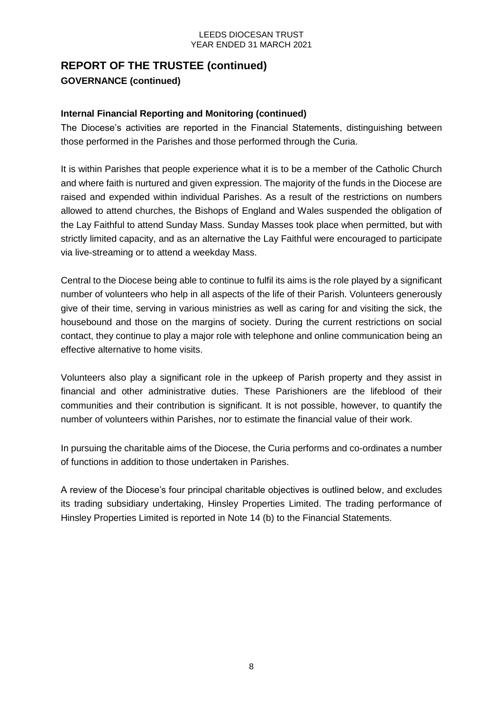## **REPORT OF THE TRUSTEE (continued)**

### **GOVERNANCE (continued)**

### **Internal Financial Reporting and Monitoring (continued)**

The Diocese's activities are reported in the Financial Statements, distinguishing between those performed in the Parishes and those performed through the Curia.

It is within Parishes that people experience what it is to be a member of the Catholic Church and where faith is nurtured and given expression. The majority of the funds in the Diocese are raised and expended within individual Parishes. As a result of the restrictions on numbers allowed to attend churches, the Bishops of England and Wales suspended the obligation of the Lay Faithful to attend Sunday Mass. Sunday Masses took place when permitted, but with strictly limited capacity, and as an alternative the Lay Faithful were encouraged to participate via live-streaming or to attend a weekday Mass.

Central to the Diocese being able to continue to fulfil its aims is the role played by a significant number of volunteers who help in all aspects of the life of their Parish. Volunteers generously give of their time, serving in various ministries as well as caring for and visiting the sick, the housebound and those on the margins of society. During the current restrictions on social contact, they continue to play a major role with telephone and online communication being an effective alternative to home visits.

Volunteers also play a significant role in the upkeep of Parish property and they assist in financial and other administrative duties. These Parishioners are the lifeblood of their communities and their contribution is significant. It is not possible, however, to quantify the number of volunteers within Parishes, nor to estimate the financial value of their work.

In pursuing the charitable aims of the Diocese, the Curia performs and co-ordinates a number of functions in addition to those undertaken in Parishes.

A review of the Diocese's four principal charitable objectives is outlined below, and excludes its trading subsidiary undertaking, Hinsley Properties Limited. The trading performance of Hinsley Properties Limited is reported in Note 14 (b) to the Financial Statements.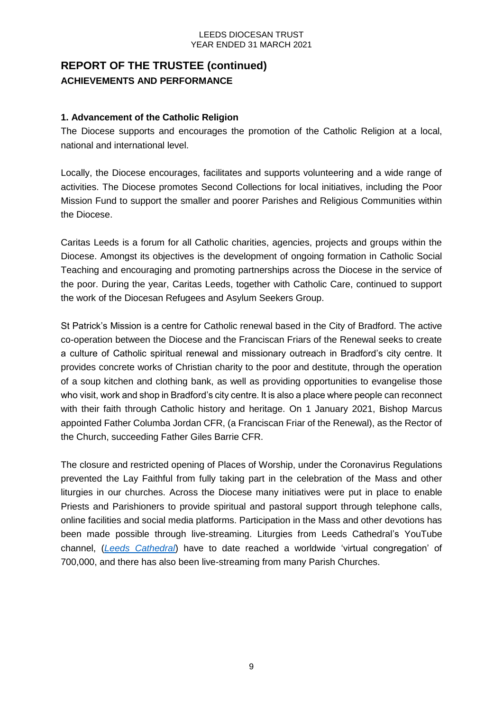## **REPORT OF THE TRUSTEE (continued) ACHIEVEMENTS AND PERFORMANCE**

### **1. Advancement of the Catholic Religion**

The Diocese supports and encourages the promotion of the Catholic Religion at a local, national and international level.

Locally, the Diocese encourages, facilitates and supports volunteering and a wide range of activities. The Diocese promotes Second Collections for local initiatives, including the Poor Mission Fund to support the smaller and poorer Parishes and Religious Communities within the Diocese.

Caritas Leeds is a forum for all Catholic charities, agencies, projects and groups within the Diocese. Amongst its objectives is the development of ongoing formation in Catholic Social Teaching and encouraging and promoting partnerships across the Diocese in the service of the poor. During the year, Caritas Leeds, together with Catholic Care, continued to support the work of the Diocesan Refugees and Asylum Seekers Group.

St Patrick's Mission is a centre for Catholic renewal based in the City of Bradford. The active co-operation between the Diocese and the Franciscan Friars of the Renewal seeks to create a culture of Catholic spiritual renewal and missionary outreach in Bradford's city centre. It provides concrete works of Christian charity to the poor and destitute, through the operation of a soup kitchen and clothing bank, as well as providing opportunities to evangelise those who visit, work and shop in Bradford's city centre. It is also a place where people can reconnect with their faith through Catholic history and heritage. On 1 January 2021, Bishop Marcus appointed Father Columba Jordan CFR, (a Franciscan Friar of the Renewal), as the Rector of the Church, succeeding Father Giles Barrie CFR.

The closure and restricted opening of Places of Worship, under the Coronavirus Regulations prevented the Lay Faithful from fully taking part in the celebration of the Mass and other liturgies in our churches. Across the Diocese many initiatives were put in place to enable Priests and Parishioners to provide spiritual and pastoral support through telephone calls, online facilities and social media platforms. Participation in the Mass and other devotions has been made possible through live-streaming. Liturgies from Leeds Cathedral's YouTube channel, (*[Leeds Cathedral](https://www.youtube.com/channel/UC-xVdN6rMCG0sSgxk8Rulow)*) have to date reached a worldwide 'virtual congregation' of 700,000, and there has also been live-streaming from many Parish Churches.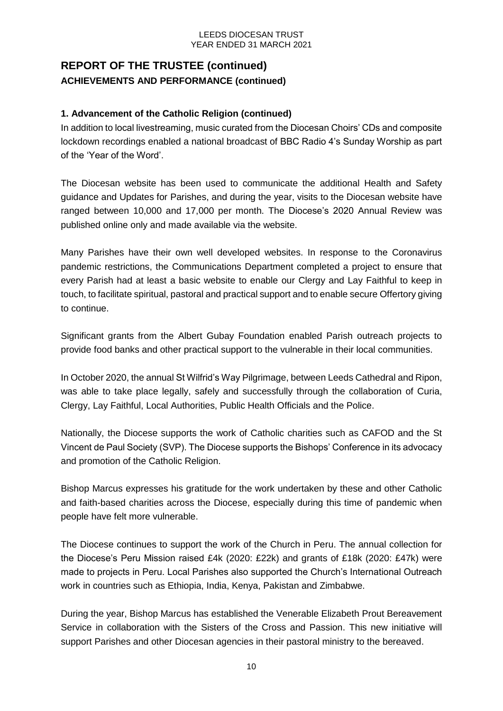## **REPORT OF THE TRUSTEE (continued) ACHIEVEMENTS AND PERFORMANCE (continued)**

### **1. Advancement of the Catholic Religion (continued)**

In addition to local livestreaming, music curated from the Diocesan Choirs' CDs and composite lockdown recordings enabled a national broadcast of [BBC Radio 4's Sunday Worship as part](https://www.bbc.co.uk/programmes/m000l1w9)  [of the 'Year of the Word'.](https://www.bbc.co.uk/programmes/m000l1w9)

The [Diocesan website](https://www.dioceseofleeds.org.uk/) has been used to communicate the additional Health and Safety guidance and Updates for Parishes, and during the year, visits to the Diocesan website have ranged between 10,000 and 17,000 per month. The Diocese's 2020 [Annual Review](https://www.dioceseofleeds.org.uk/communications/wp-content/uploads/2021/02/Annual-Review-2020.pdf) was published online only and made available via the website.

Many Parishes have their own well developed websites. In response to the Coronavirus pandemic restrictions, the Communications Department completed a project to ensure that every Parish had at least a basic website to enable our Clergy and Lay Faithful to keep in touch, to facilitate spiritual, pastoral and practical support and to enable secur[e Offertory giving](https://www.mygivinghub.com/detailed/donate?charity_id=1086222&type=2) to continue.

Significant grants from the Albert Gubay Foundation enabled Parish outreach projects to provide food banks and other practical support to the vulnerable in their local communities.

In October 2020, the annual [St Wilfrid's Way](https://www.dioceseofleeds.org.uk/st-wilfrids-day-st-wilfrids-way/) Pilgrimage, between Leeds Cathedral and Ripon, was able to take place legally, safely and successfully through the collaboration of Curia, Clergy, Lay Faithful, Local Authorities, Public Health Officials and the Police.

Nationally, the Diocese supports the work of Catholic charities such as CAFOD and the St Vincent de Paul Society (SVP). The Diocese supports the Bishops' Conference in its advocacy and promotion of the Catholic Religion.

Bishop Marcus expresses his gratitude for the work undertaken by these and other Catholic and faith-based charities across the Diocese, especially during this time of pandemic when people have felt more vulnerable.

The Diocese continues to support the work of the Church in Peru. The annual collection for the Diocese's Peru Mission raised £4k (2020: £22k) and grants of £18k (2020: £47k) were made to projects in Peru. Local Parishes also supported the Church's International Outreach work in countries such as Ethiopia, India, Kenya, Pakistan and Zimbabwe.

During the year, Bishop Marcus has established the Venerable Elizabeth Prout Bereavement Service in collaboration with the Sisters of the Cross and Passion. This new initiative will support Parishes and other Diocesan agencies in their pastoral ministry to the bereaved.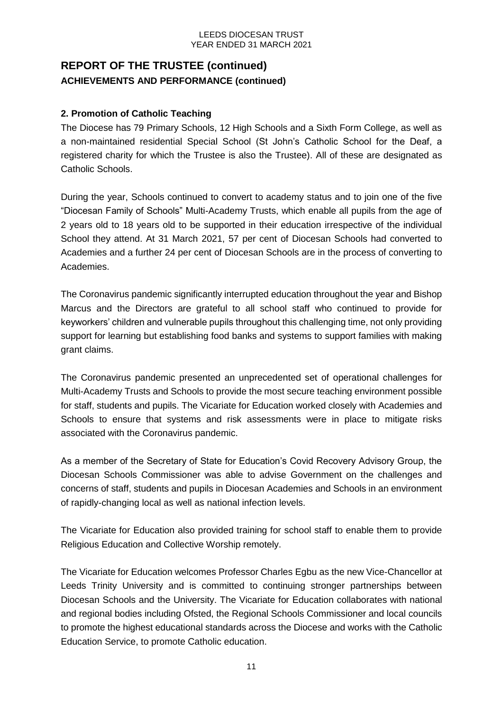## **REPORT OF THE TRUSTEE (continued) ACHIEVEMENTS AND PERFORMANCE (continued)**

### **2. Promotion of Catholic Teaching**

The Diocese has 79 Primary Schools, 12 High Schools and a Sixth Form College, as well as a non-maintained residential Special School (St John's Catholic School for the Deaf, a registered charity for which the Trustee is also the Trustee). All of these are designated as Catholic Schools.

During the year, Schools continued to convert to academy status and to join one of the five "Diocesan Family of Schools" Multi-Academy Trusts, which enable all pupils from the age of 2 years old to 18 years old to be supported in their education irrespective of the individual School they attend. At 31 March 2021, 57 per cent of Diocesan Schools had converted to Academies and a further 24 per cent of Diocesan Schools are in the process of converting to Academies.

The Coronavirus pandemic significantly interrupted education throughout the year and Bishop Marcus and the Directors are grateful to all school staff who continued to provide for keyworkers' children and vulnerable pupils throughout this challenging time, not only providing support for learning but establishing food banks and systems to support families with making grant claims.

The Coronavirus pandemic presented an unprecedented set of operational challenges for Multi-Academy Trusts and Schools to provide the most secure teaching environment possible for staff, students and pupils. The Vicariate for Education worked closely with Academies and Schools to ensure that systems and risk assessments were in place to mitigate risks associated with the Coronavirus pandemic.

As a member of the Secretary of State for Education's Covid Recovery Advisory Group, the Diocesan Schools Commissioner was able to advise Government on the challenges and concerns of staff, students and pupils in Diocesan Academies and Schools in an environment of rapidly-changing local as well as national infection levels.

The Vicariate for Education also provided training for school staff to enable them to provide Religious Education and Collective Worship remotely.

The Vicariate for Education welcomes Professor Charles Egbu as the new Vice-Chancellor at Leeds Trinity University and is committed to continuing stronger partnerships between Diocesan Schools and the University. The Vicariate for Education collaborates with national and regional bodies including Ofsted, the Regional Schools Commissioner and local councils to promote the highest educational standards across the Diocese and works with the Catholic Education Service, to promote Catholic education.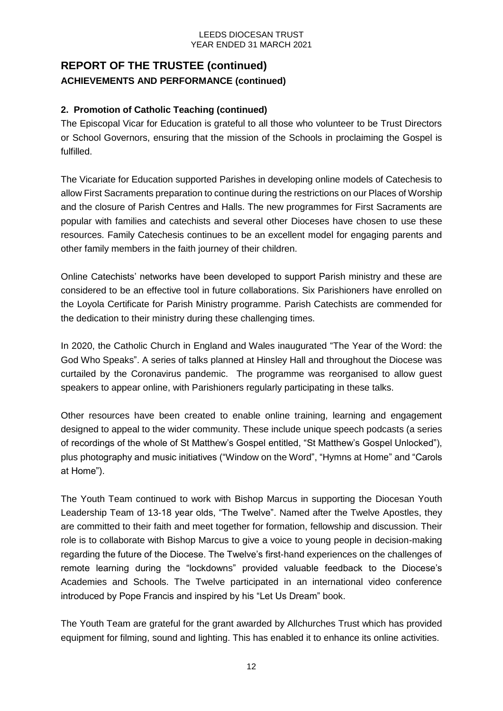## **REPORT OF THE TRUSTEE (continued) ACHIEVEMENTS AND PERFORMANCE (continued)**

### **2. Promotion of Catholic Teaching (continued)**

The Episcopal Vicar for Education is grateful to all those who volunteer to be Trust Directors or School Governors, ensuring that the mission of the Schools in proclaiming the Gospel is fulfilled.

The Vicariate for Education supported Parishes in developing online models of Catechesis to allow First Sacraments preparation to continue during the restrictions on our Places of Worship and the closure of Parish Centres and Halls. The new programmes for First Sacraments are popular with families and catechists and several other Dioceses have chosen to use these resources. Family Catechesis continues to be an excellent model for engaging parents and other family members in the faith journey of their children.

Online Catechists' networks have been developed to support Parish ministry and these are considered to be an effective tool in future collaborations. Six Parishioners have enrolled on the Loyola Certificate for Parish Ministry programme. Parish Catechists are commended for the dedication to their ministry during these challenging times.

In 2020, the Catholic Church in England and Wales inaugurated "The Year of the Word: the God Who Speaks". A series of talks planned at Hinsley Hall and throughout the Diocese was curtailed by the Coronavirus pandemic. The programme was reorganised to allow guest speakers to appear online, with Parishioners regularly participating in these talks.

Other resources have been created to enable online training, learning and engagement designed to appeal to the wider community. These include unique speech podcasts (a series of recordings of the whole of St Matthew's Gospel entitled, ["St Matthew's Gospel Unlocked"](https://www.dioceseofleeds.org.uk/unlocking-st-matthews-gospel-with-voices-from-the-diocese-of-leeds/)), plus photography and music initiatives (["Window on the Word"](https://www.dioceseofleeds.org.uk/education/window-on-the-word/), ["Hymns at Home"](https://www.dioceseofleeds.org.uk/hymns-at-home-one-diocese-many-voices-sunday-12-july/) and "Carols at Home").

The Youth Team continued to work with Bishop Marcus in supporting the Diocesan Youth Leadership Team of 13-18 year olds, "The Twelve". Named after the Twelve Apostles, they are committed to their faith and meet together for formation, fellowship and discussion. Their role is to collaborate with Bishop Marcus to give a voice to young people in decision-making regarding the future of the Diocese. The Twelve's first-hand experiences on the challenges of remote learning during the "lockdowns" provided valuable feedback to the Diocese's Academies and Schools. The Twelve participated in an international video conference introduced by Pope Francis and inspired by his "Let Us Dream" book.

The Youth Team are grateful for the grant awarded by Allchurches Trust which has provided equipment for filming, sound and lighting. This has enabled it to enhance its online activities.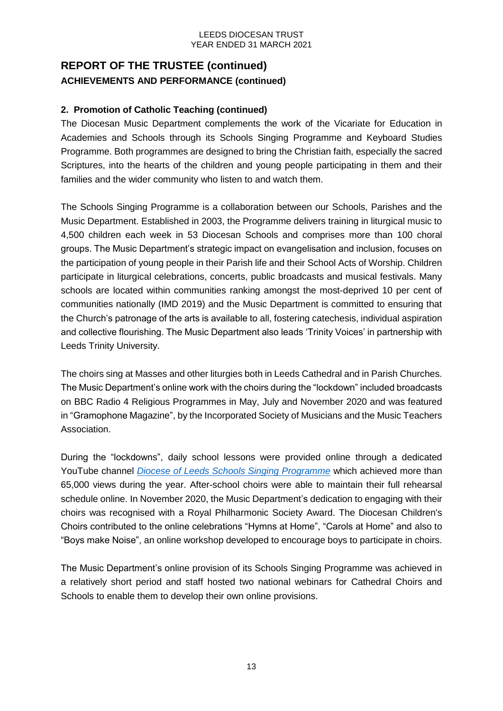## **REPORT OF THE TRUSTEE (continued) ACHIEVEMENTS AND PERFORMANCE (continued)**

### **2. Promotion of Catholic Teaching (continued)**

The Diocesan Music Department complements the work of the Vicariate for Education in Academies and Schools through its Schools Singing Programme and Keyboard Studies Programme. Both programmes are designed to bring the Christian faith, especially the sacred Scriptures, into the hearts of the children and young people participating in them and their families and the wider community who listen to and watch them.

The Schools Singing Programme is a collaboration between our Schools, Parishes and the Music Department. Established in 2003, the Programme delivers training in liturgical music to 4,500 children each week in 53 Diocesan Schools and comprises more than 100 choral groups. The Music Department's strategic impact on evangelisation and inclusion, focuses on the participation of young people in their Parish life and their School Acts of Worship. Children participate in liturgical celebrations, concerts, public broadcasts and musical festivals. Many schools are located within communities ranking amongst the most-deprived 10 per cent of communities nationally (IMD 2019) and the Music Department is committed to ensuring that the Church's patronage of the arts is available to all, fostering catechesis, individual aspiration and collective flourishing. The Music Department also leads 'Trinity Voices' in partnership with Leeds Trinity University.

The choirs sing at Masses and other liturgies both in Leeds Cathedral and in Parish Churches. The Music Department's online work with the choirs during the "lockdown" included broadcasts on BBC Radio 4 Religious Programmes in May, July and November 2020 and was featured in "Gramophone Magazine", by the Incorporated Society of Musicians and the Music Teachers Association.

During the "lockdowns", daily school lessons were provided online through a dedicated YouTube channel *[Diocese of Leeds Schools Singing Programme](https://www.dioceseofleedsmusic.org.uk/schools-singing-programme/)* which achieved more than 65,000 views during the year. After-school choirs were able to maintain their full rehearsal schedule online. In November 2020, the Music Department's dedication to engaging with their choirs was recognised with a Royal Philharmonic Society Award. The Diocesan Children's Choirs contributed to the online celebrations "Hymns at Home", "Carols at Home" and also to "Boys make Noise", an online workshop developed to encourage boys to participate in choirs.

The Music Department's online provision of its Schools Singing Programme was achieved in a relatively short period and staff hosted two national webinars for Cathedral Choirs and Schools to enable them to develop their own online provisions.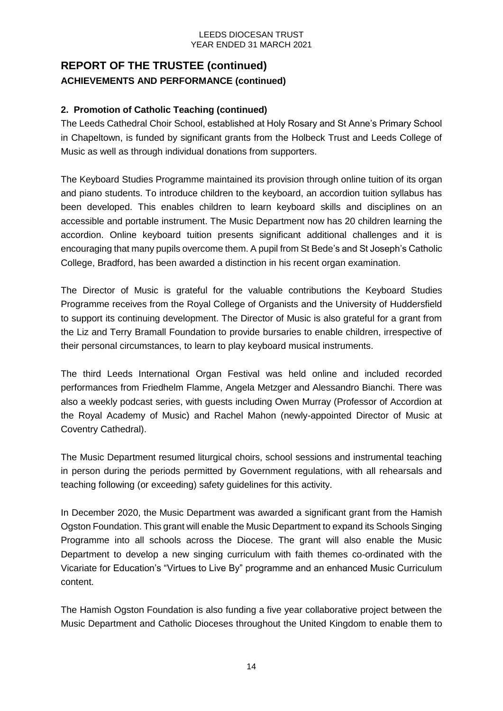## **REPORT OF THE TRUSTEE (continued) ACHIEVEMENTS AND PERFORMANCE (continued)**

### **2. Promotion of Catholic Teaching (continued)**

The Leeds Cathedral Choir School, established at Holy Rosary and St Anne's Primary School in Chapeltown, is funded by significant grants from the Holbeck Trust and Leeds College of Music as well as through individual donations from supporters.

The Keyboard Studies Programme maintained its provision through online tuition of its organ and piano students. To introduce children to the keyboard, an accordion tuition syllabus has been developed. This enables children to learn keyboard skills and disciplines on an accessible and portable instrument. The Music Department now has 20 children learning the accordion. Online keyboard tuition presents significant additional challenges and it is encouraging that many pupils overcome them. A pupil from St Bede's and St Joseph's Catholic College, Bradford, has been awarded a distinction in his recent organ examination.

The Director of Music is grateful for the valuable contributions the Keyboard Studies Programme receives from the Royal College of Organists and the University of Huddersfield to support its continuing development. The Director of Music is also grateful for a grant from the Liz and Terry Bramall Foundation to provide bursaries to enable children, irrespective of their personal circumstances, to learn to play keyboard musical instruments.

The third Leeds International Organ Festival was held online and included recorded performances from Friedhelm Flamme, Angela Metzger and Alessandro Bianchi. There was also a weekly podcast series, with guests including Owen Murray (Professor of Accordion at the Royal Academy of Music) and Rachel Mahon (newly-appointed Director of Music at Coventry Cathedral).

The Music Department resumed liturgical choirs, school sessions and instrumental teaching in person during the periods permitted by Government regulations, with all rehearsals and teaching following (or exceeding) safety guidelines for this activity.

In December 2020, the Music Department was awarded a significant grant from the Hamish Ogston Foundation. This grant will enable the Music Department to expand its Schools Singing Programme into all schools across the Diocese. The grant will also enable the Music Department to develop a new singing curriculum with faith themes co-ordinated with the Vicariate for Education's "Virtues to Live By" programme and an enhanced Music Curriculum content.

The Hamish Ogston Foundation is also funding a five year collaborative project between the Music Department and Catholic Dioceses throughout the United Kingdom to enable them to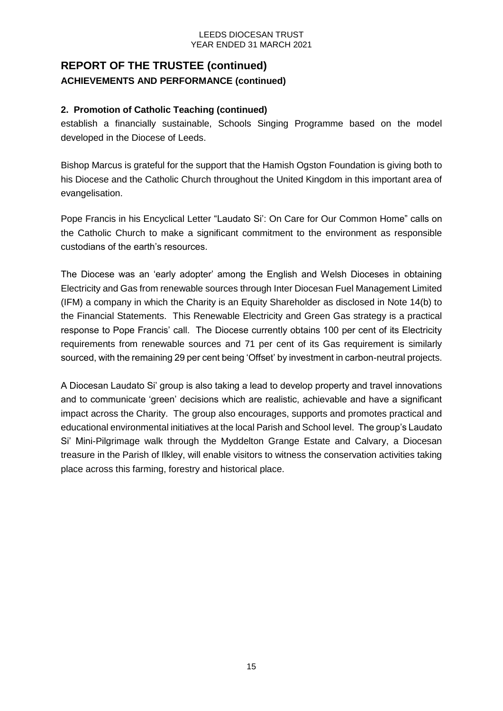## **REPORT OF THE TRUSTEE (continued) ACHIEVEMENTS AND PERFORMANCE (continued)**

### **2. Promotion of Catholic Teaching (continued)**

establish a financially sustainable, Schools Singing Programme based on the model developed in the Diocese of Leeds.

Bishop Marcus is grateful for the support that the Hamish Ogston Foundation is giving both to his Diocese and the Catholic Church throughout the United Kingdom in this important area of evangelisation.

Pope Francis in his Encyclical Letter "Laudato Si': On Care for Our Common Home" calls on the Catholic Church to make a significant commitment to the environment as responsible custodians of the earth's resources.

The Diocese was an 'early adopter' among the English and Welsh Dioceses in obtaining Electricity and Gas from renewable sources through Inter Diocesan Fuel Management Limited (IFM) a company in which the Charity is an Equity Shareholder as disclosed in Note 14(b) to the Financial Statements. This Renewable Electricity and Green Gas strategy is a practical response to Pope Francis' call. The Diocese currently obtains 100 per cent of its Electricity requirements from renewable sources and 71 per cent of its Gas requirement is similarly sourced, with the remaining 29 per cent being 'Offset' by investment in carbon-neutral projects.

A Diocesan Laudato Si' group is also taking a lead to develop property and travel innovations and to communicate 'green' decisions which are realistic, achievable and have a significant impact across the Charity. The group also encourages, supports and promotes practical and educational environmental initiatives at the local Parish and School level. The group's Laudato Si' Mini-Pilgrimage walk through the Myddelton Grange Estate and Calvary, a Diocesan treasure in the Parish of Ilkley, will enable visitors to witness the conservation activities taking place across this farming, forestry and historical place.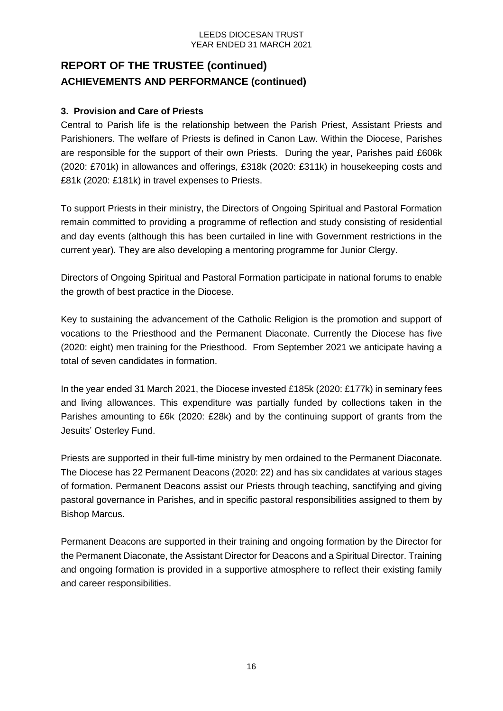## **REPORT OF THE TRUSTEE (continued) ACHIEVEMENTS AND PERFORMANCE (continued)**

### **3. Provision and Care of Priests**

Central to Parish life is the relationship between the Parish Priest, Assistant Priests and Parishioners. The welfare of Priests is defined in Canon Law. Within the Diocese, Parishes are responsible for the support of their own Priests. During the year, Parishes paid £606k (2020: £701k) in allowances and offerings, £318k (2020: £311k) in housekeeping costs and £81k (2020: £181k) in travel expenses to Priests.

To support Priests in their ministry, the Directors of Ongoing Spiritual and Pastoral Formation remain committed to providing a programme of reflection and study consisting of residential and day events (although this has been curtailed in line with Government restrictions in the current year). They are also developing a mentoring programme for Junior Clergy.

Directors of Ongoing Spiritual and Pastoral Formation participate in national forums to enable the growth of best practice in the Diocese.

Key to sustaining the advancement of the Catholic Religion is the promotion and support of vocations to the Priesthood and the Permanent Diaconate. Currently the Diocese has five (2020: eight) men training for the Priesthood. From September 2021 we anticipate having a total of seven candidates in formation.

In the year ended 31 March 2021, the Diocese invested £185k (2020: £177k) in seminary fees and living allowances. This expenditure was partially funded by collections taken in the Parishes amounting to £6k (2020: £28k) and by the continuing support of grants from the Jesuits' Osterley Fund.

Priests are supported in their full-time ministry by men ordained to the Permanent Diaconate. The Diocese has 22 Permanent Deacons (2020: 22) and has six candidates at various stages of formation. Permanent Deacons assist our Priests through teaching, sanctifying and giving pastoral governance in Parishes, and in specific pastoral responsibilities assigned to them by Bishop Marcus.

Permanent Deacons are supported in their training and ongoing formation by the Director for the Permanent Diaconate, the Assistant Director for Deacons and a Spiritual Director. Training and ongoing formation is provided in a supportive atmosphere to reflect their existing family and career responsibilities.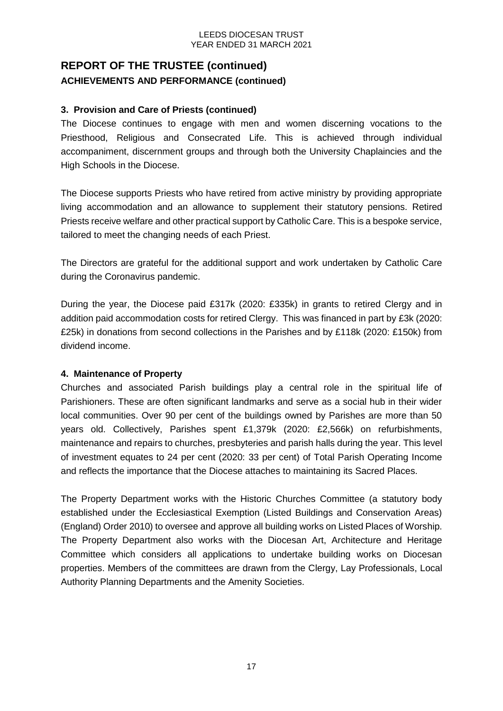## **REPORT OF THE TRUSTEE (continued) ACHIEVEMENTS AND PERFORMANCE (continued)**

### **3. Provision and Care of Priests (continued)**

The Diocese continues to engage with men and women discerning vocations to the Priesthood, Religious and Consecrated Life. This is achieved through individual accompaniment, discernment groups and through both the University Chaplaincies and the High Schools in the Diocese.

The Diocese supports Priests who have retired from active ministry by providing appropriate living accommodation and an allowance to supplement their statutory pensions. Retired Priests receive welfare and other practical support by Catholic Care. This is a bespoke service, tailored to meet the changing needs of each Priest.

The Directors are grateful for the additional support and work undertaken by Catholic Care during the Coronavirus pandemic.

During the year, the Diocese paid £317k (2020: £335k) in grants to retired Clergy and in addition paid accommodation costs for retired Clergy. This was financed in part by £3k (2020: £25k) in donations from second collections in the Parishes and by £118k (2020: £150k) from dividend income.

### **4. Maintenance of Property**

Churches and associated Parish buildings play a central role in the spiritual life of Parishioners. These are often significant landmarks and serve as a social hub in their wider local communities. Over 90 per cent of the buildings owned by Parishes are more than 50 years old. Collectively, Parishes spent £1,379k (2020: £2,566k) on refurbishments, maintenance and repairs to churches, presbyteries and parish halls during the year. This level of investment equates to 24 per cent (2020: 33 per cent) of Total Parish Operating Income and reflects the importance that the Diocese attaches to maintaining its Sacred Places.

The Property Department works with the Historic Churches Committee (a statutory body established under the Ecclesiastical Exemption (Listed Buildings and Conservation Areas) (England) Order 2010) to oversee and approve all building works on Listed Places of Worship. The Property Department also works with the Diocesan Art, Architecture and Heritage Committee which considers all applications to undertake building works on Diocesan properties. Members of the committees are drawn from the Clergy, Lay Professionals, Local Authority Planning Departments and the Amenity Societies.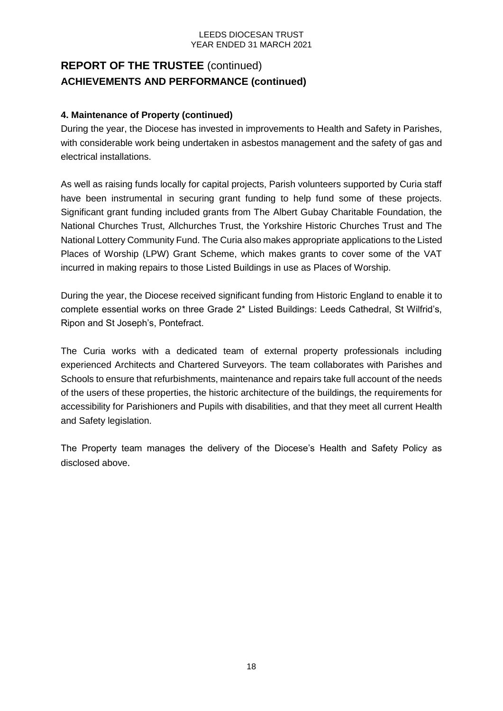## **REPORT OF THE TRUSTEE** (continued) **ACHIEVEMENTS AND PERFORMANCE (continued)**

### **4. Maintenance of Property (continued)**

During the year, the Diocese has invested in improvements to Health and Safety in Parishes, with considerable work being undertaken in asbestos management and the safety of gas and electrical installations.

As well as raising funds locally for capital projects, Parish volunteers supported by Curia staff have been instrumental in securing grant funding to help fund some of these projects. Significant grant funding included grants from The Albert Gubay Charitable Foundation, the National Churches Trust, Allchurches Trust, the Yorkshire Historic Churches Trust and The National Lottery Community Fund. The Curia also makes appropriate applications to the Listed Places of Worship (LPW) Grant Scheme, which makes grants to cover some of the VAT incurred in making repairs to those Listed Buildings in use as Places of Worship.

During the year, the Diocese received significant funding from Historic England to enable it to complete essential works on three Grade 2\* Listed Buildings: Leeds Cathedral, St Wilfrid's, Ripon and St Joseph's, Pontefract.

The Curia works with a dedicated team of external property professionals including experienced Architects and Chartered Surveyors. The team collaborates with Parishes and Schools to ensure that refurbishments, maintenance and repairs take full account of the needs of the users of these properties, the historic architecture of the buildings, the requirements for accessibility for Parishioners and Pupils with disabilities, and that they meet all current Health and Safety legislation.

The Property team manages the delivery of the Diocese's Health and Safety Policy as disclosed above.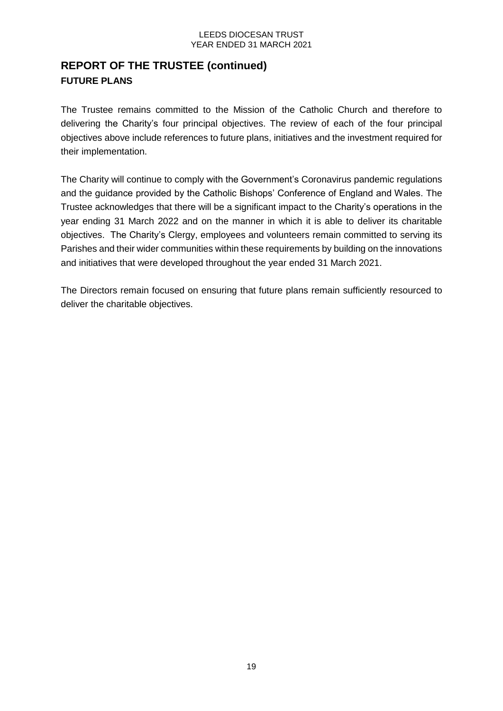## **REPORT OF THE TRUSTEE (continued) FUTURE PLANS**

The Trustee remains committed to the Mission of the Catholic Church and therefore to delivering the Charity's four principal objectives. The review of each of the four principal objectives above include references to future plans, initiatives and the investment required for their implementation.

The Charity will continue to comply with the Government's Coronavirus pandemic regulations and the guidance provided by the Catholic Bishops' Conference of England and Wales. The Trustee acknowledges that there will be a significant impact to the Charity's operations in the year ending 31 March 2022 and on the manner in which it is able to deliver its charitable objectives. The Charity's Clergy, employees and volunteers remain committed to serving its Parishes and their wider communities within these requirements by building on the innovations and initiatives that were developed throughout the year ended 31 March 2021.

The Directors remain focused on ensuring that future plans remain sufficiently resourced to deliver the charitable objectives.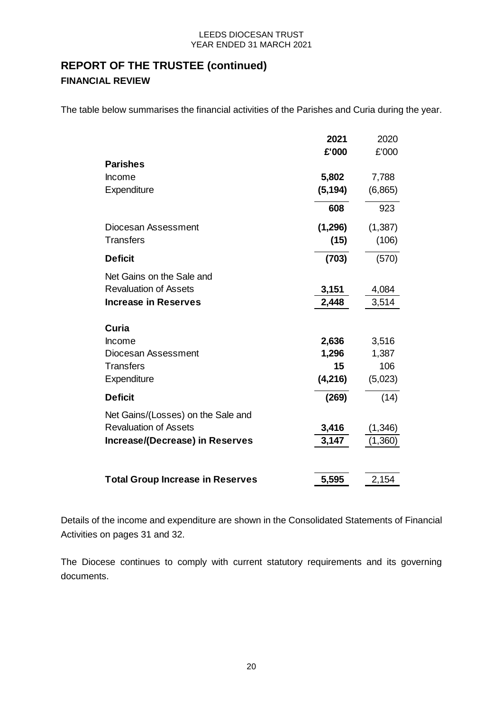## **REPORT OF THE TRUSTEE (continued) FINANCIAL REVIEW**

The table below summarises the financial activities of the Parishes and Curia during the year.

|                                         | 2021     | 2020     |
|-----------------------------------------|----------|----------|
|                                         | £'000    | £'000    |
| <b>Parishes</b>                         |          |          |
| Income                                  | 5,802    | 7,788    |
| Expenditure                             | (5, 194) | (6,865)  |
|                                         | 608      | 923      |
| Diocesan Assessment                     | (1, 296) | (1, 387) |
| <b>Transfers</b>                        | (15)     | (106)    |
| <b>Deficit</b>                          | (703)    | (570)    |
| Net Gains on the Sale and               |          |          |
| <b>Revaluation of Assets</b>            | 3,151    | 4,084    |
| <b>Increase in Reserves</b>             | 2,448    | 3,514    |
| Curia                                   |          |          |
| Income                                  | 2,636    | 3,516    |
| Diocesan Assessment                     | 1,296    | 1,387    |
| <b>Transfers</b>                        | 15       | 106      |
| Expenditure                             | (4,216)  | (5,023)  |
| <b>Deficit</b>                          | (269)    | (14)     |
| Net Gains/(Losses) on the Sale and      |          |          |
| <b>Revaluation of Assets</b>            | 3,416    | (1, 346) |
| <b>Increase/(Decrease) in Reserves</b>  | 3,147    | (1,360)  |
|                                         |          |          |
| <b>Total Group Increase in Reserves</b> | 5,595    | 2,154    |

Details of the income and expenditure are shown in the Consolidated Statements of Financial Activities on pages [31](#page-32-0) and [32.](#page-33-0)

The Diocese continues to comply with current statutory requirements and its governing documents.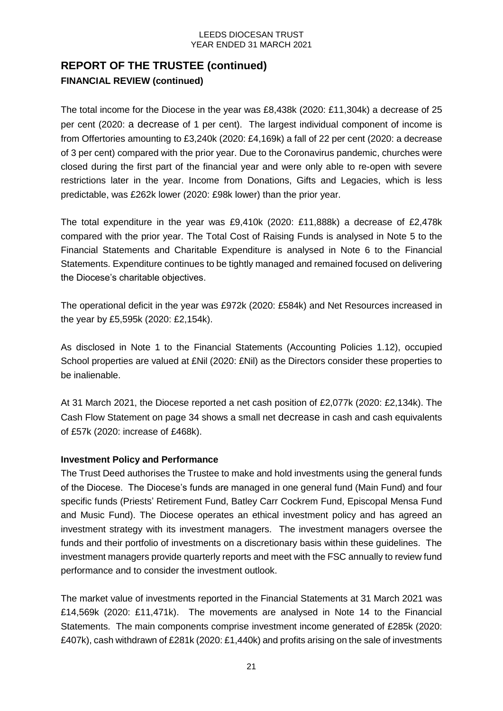## **REPORT OF THE TRUSTEE (continued) FINANCIAL REVIEW (continued)**

The total income for the Diocese in the year was £8,438k (2020: £11,304k) a decrease of 25 per cent (2020: a decrease of 1 per cent). The largest individual component of income is from Offertories amounting to £3,240k (2020: £4,169k) a fall of 22 per cent (2020: a decrease of 3 per cent) compared with the prior year. Due to the Coronavirus pandemic, churches were closed during the first part of the financial year and were only able to re-open with severe restrictions later in the year. Income from Donations, Gifts and Legacies, which is less predictable, was £262k lower (2020: £98k lower) than the prior year.

The total expenditure in the year was £9,410k (2020: £11,888k) a decrease of £2,478k compared with the prior year. The Total Cost of Raising Funds is analysed in Note 5 to the Financial Statements and Charitable Expenditure is analysed in Note 6 to the Financial Statements. Expenditure continues to be tightly managed and remained focused on delivering the Diocese's charitable objectives.

The operational deficit in the year was £972k (2020: £584k) and Net Resources increased in the year by £5,595k (2020: £2,154k).

As disclosed in Note 1 to the Financial Statements (Accounting Policies 1.12), occupied School properties are valued at £Nil (2020: £Nil) as the Directors consider these properties to be inalienable.

At 31 March 2021, the Diocese reported a net cash position of £2,077k (2020: £2,134k). The Cash Flow Statement on page [34](#page-35-0) shows a small net decrease in cash and cash equivalents of £57k (2020: increase of £468k).

### **Investment Policy and Performance**

The Trust Deed authorises the Trustee to make and hold investments using the general funds of the Diocese. The Diocese's funds are managed in one general fund (Main Fund) and four specific funds (Priests' Retirement Fund, Batley Carr Cockrem Fund, Episcopal Mensa Fund and Music Fund). The Diocese operates an ethical investment policy and has agreed an investment strategy with its investment managers. The investment managers oversee the funds and their portfolio of investments on a discretionary basis within these guidelines. The investment managers provide quarterly reports and meet with the FSC annually to review fund performance and to consider the investment outlook.

The market value of investments reported in the Financial Statements at 31 March 2021 was £14,569k (2020: £11,471k). The movements are analysed in Note 14 to the Financial Statements. The main components comprise investment income generated of £285k (2020: £407k), cash withdrawn of £281k (2020: £1,440k) and profits arising on the sale of investments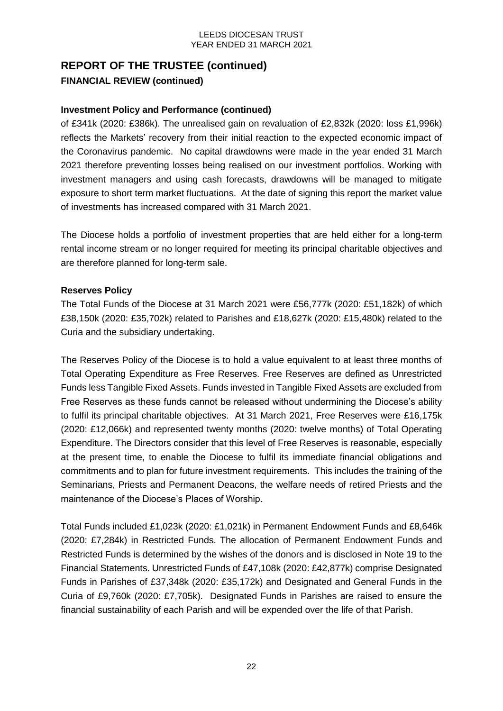## **REPORT OF THE TRUSTEE (continued) FINANCIAL REVIEW (continued)**

### **Investment Policy and Performance (continued)**

of £341k (2020: £386k). The unrealised gain on revaluation of £2,832k (2020: loss £1,996k) reflects the Markets' recovery from their initial reaction to the expected economic impact of the Coronavirus pandemic. No capital drawdowns were made in the year ended 31 March 2021 therefore preventing losses being realised on our investment portfolios. Working with investment managers and using cash forecasts, drawdowns will be managed to mitigate exposure to short term market fluctuations. At the date of signing this report the market value of investments has increased compared with 31 March 2021.

The Diocese holds a portfolio of investment properties that are held either for a long-term rental income stream or no longer required for meeting its principal charitable objectives and are therefore planned for long-term sale.

### **Reserves Policy**

The Total Funds of the Diocese at 31 March 2021 were £56,777k (2020: £51,182k) of which £38,150k (2020: £35,702k) related to Parishes and £18,627k (2020: £15,480k) related to the Curia and the subsidiary undertaking.

The Reserves Policy of the Diocese is to hold a value equivalent to at least three months of Total Operating Expenditure as Free Reserves. Free Reserves are defined as Unrestricted Funds less Tangible Fixed Assets. Funds invested in Tangible Fixed Assets are excluded from Free Reserves as these funds cannot be released without undermining the Diocese's ability to fulfil its principal charitable objectives. At 31 March 2021, Free Reserves were £16,175k (2020: £12,066k) and represented twenty months (2020: twelve months) of Total Operating Expenditure. The Directors consider that this level of Free Reserves is reasonable, especially at the present time, to enable the Diocese to fulfil its immediate financial obligations and commitments and to plan for future investment requirements. This includes the training of the Seminarians, Priests and Permanent Deacons, the welfare needs of retired Priests and the maintenance of the Diocese's Places of Worship.

Total Funds included £1,023k (2020: £1,021k) in Permanent Endowment Funds and £8,646k (2020: £7,284k) in Restricted Funds. The allocation of Permanent Endowment Funds and Restricted Funds is determined by the wishes of the donors and is disclosed in Note 19 to the Financial Statements. Unrestricted Funds of £47,108k (2020: £42,877k) comprise Designated Funds in Parishes of £37,348k (2020: £35,172k) and Designated and General Funds in the Curia of £9,760k (2020: £7,705k). Designated Funds in Parishes are raised to ensure the financial sustainability of each Parish and will be expended over the life of that Parish.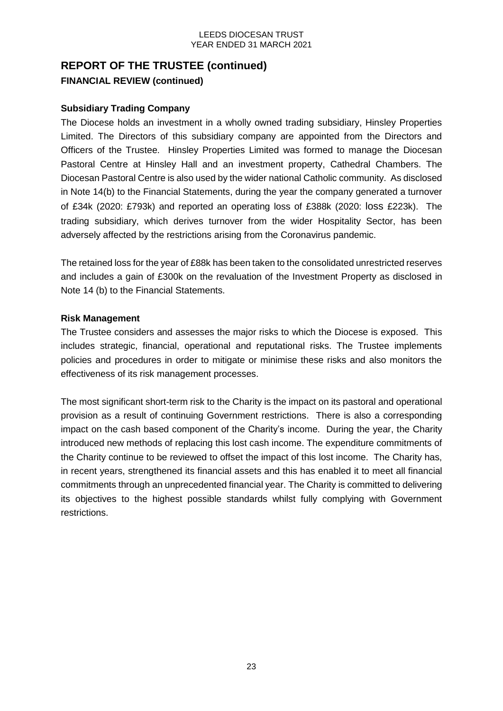## **REPORT OF THE TRUSTEE (continued)**

### **FINANCIAL REVIEW (continued)**

### **Subsidiary Trading Company**

The Diocese holds an investment in a wholly owned trading subsidiary, Hinsley Properties Limited. The Directors of this subsidiary company are appointed from the Directors and Officers of the Trustee. Hinsley Properties Limited was formed to manage the Diocesan Pastoral Centre at Hinsley Hall and an investment property, Cathedral Chambers. The Diocesan Pastoral Centre is also used by the wider national Catholic community. As disclosed in Note 14(b) to the Financial Statements, during the year the company generated a turnover of £34k (2020: £793k) and reported an operating loss of £388k (2020: loss £223k). The trading subsidiary, which derives turnover from the wider Hospitality Sector, has been adversely affected by the restrictions arising from the Coronavirus pandemic.

The retained loss for the year of £88k has been taken to the consolidated unrestricted reserves and includes a gain of £300k on the revaluation of the Investment Property as disclosed in Note 14 (b) to the Financial Statements.

### **Risk Management**

The Trustee considers and assesses the major risks to which the Diocese is exposed. This includes strategic, financial, operational and reputational risks. The Trustee implements policies and procedures in order to mitigate or minimise these risks and also monitors the effectiveness of its risk management processes.

The most significant short-term risk to the Charity is the impact on its pastoral and operational provision as a result of continuing Government restrictions. There is also a corresponding impact on the cash based component of the Charity's income. During the year, the Charity introduced new methods of replacing this lost cash income. The expenditure commitments of the Charity continue to be reviewed to offset the impact of this lost income. The Charity has, in recent years, strengthened its financial assets and this has enabled it to meet all financial commitments through an unprecedented financial year. The Charity is committed to delivering its objectives to the highest possible standards whilst fully complying with Government restrictions.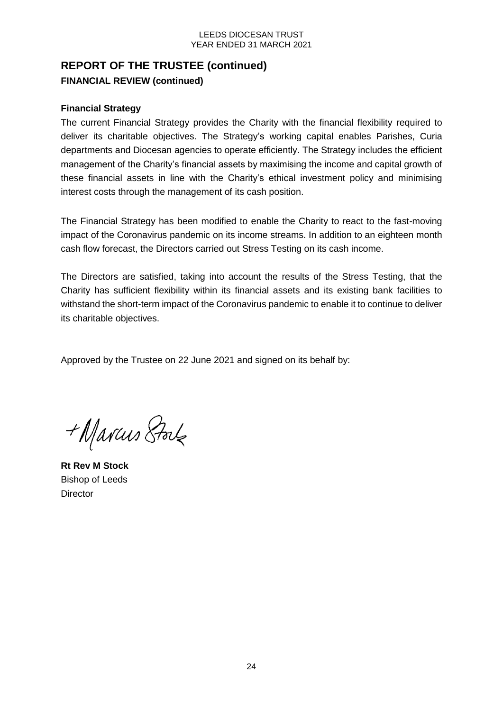## **REPORT OF THE TRUSTEE (continued) FINANCIAL REVIEW (continued)**

### **Financial Strategy**

The current Financial Strategy provides the Charity with the financial flexibility required to deliver its charitable objectives. The Strategy's working capital enables Parishes, Curia departments and Diocesan agencies to operate efficiently. The Strategy includes the efficient management of the Charity's financial assets by maximising the income and capital growth of these financial assets in line with the Charity's ethical investment policy and minimising interest costs through the management of its cash position.

The Financial Strategy has been modified to enable the Charity to react to the fast-moving impact of the Coronavirus pandemic on its income streams. In addition to an eighteen month cash flow forecast, the Directors carried out Stress Testing on its cash income.

The Directors are satisfied, taking into account the results of the Stress Testing, that the Charity has sufficient flexibility within its financial assets and its existing bank facilities to withstand the short-term impact of the Coronavirus pandemic to enable it to continue to deliver its charitable objectives.

Approved by the Trustee on 22 June 2021 and signed on its behalf by:

+ Marcus Stock

**Rt Rev M Stock** Bishop of Leeds **Director**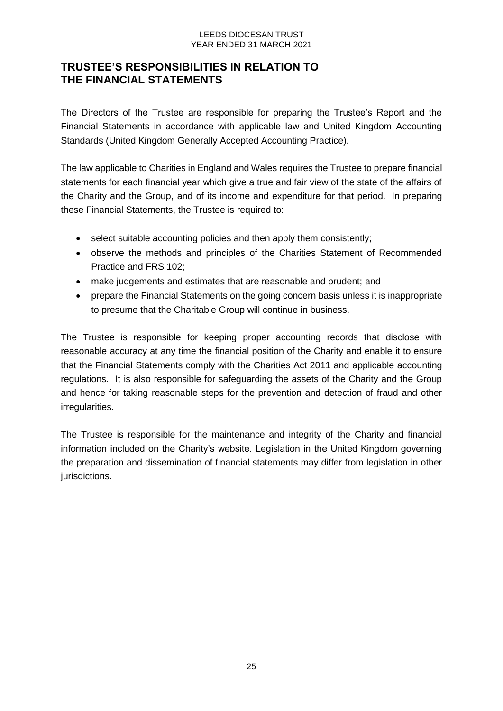### <span id="page-26-0"></span>**TRUSTEE'S RESPONSIBILITIES IN RELATION TO THE FINANCIAL STATEMENTS**

The Directors of the Trustee are responsible for preparing the Trustee's Report and the Financial Statements in accordance with applicable law and United Kingdom Accounting Standards (United Kingdom Generally Accepted Accounting Practice).

The law applicable to Charities in England and Wales requires the Trustee to prepare financial statements for each financial year which give a true and fair view of the state of the affairs of the Charity and the Group, and of its income and expenditure for that period. In preparing these Financial Statements, the Trustee is required to:

- select suitable accounting policies and then apply them consistently;
- observe the methods and principles of the Charities Statement of Recommended Practice and FRS 102;
- make judgements and estimates that are reasonable and prudent; and
- prepare the Financial Statements on the going concern basis unless it is inappropriate to presume that the Charitable Group will continue in business.

The Trustee is responsible for keeping proper accounting records that disclose with reasonable accuracy at any time the financial position of the Charity and enable it to ensure that the Financial Statements comply with the Charities Act 2011 and applicable accounting regulations. It is also responsible for safeguarding the assets of the Charity and the Group and hence for taking reasonable steps for the prevention and detection of fraud and other irregularities.

The Trustee is responsible for the maintenance and integrity of the Charity and financial information included on the Charity's website. Legislation in the United Kingdom governing the preparation and dissemination of financial statements may differ from legislation in other jurisdictions.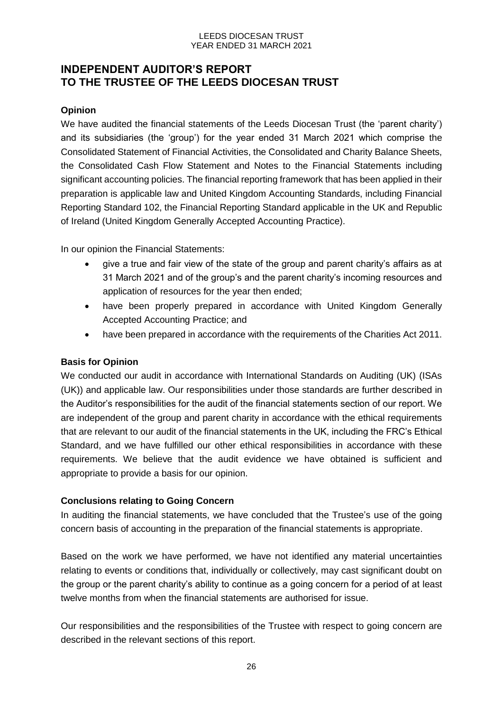### <span id="page-27-0"></span>**INDEPENDENT AUDITOR'S REPORT TO THE TRUSTEE OF THE LEEDS DIOCESAN TRUST**

### **Opinion**

We have audited the financial statements of the Leeds Diocesan Trust (the 'parent charity') and its subsidiaries (the 'group') for the year ended 31 March 2021 which comprise the Consolidated Statement of Financial Activities, the Consolidated and Charity Balance Sheets, the Consolidated Cash Flow Statement and Notes to the Financial Statements including significant accounting policies. The financial reporting framework that has been applied in their preparation is applicable law and United Kingdom Accounting Standards, including Financial Reporting Standard 102, the Financial Reporting Standard applicable in the UK and Republic of Ireland (United Kingdom Generally Accepted Accounting Practice).

In our opinion the Financial Statements:

- give a true and fair view of the state of the group and parent charity's affairs as at 31 March 2021 and of the group's and the parent charity's incoming resources and application of resources for the year then ended;
- have been properly prepared in accordance with United Kingdom Generally Accepted Accounting Practice; and
- have been prepared in accordance with the requirements of the Charities Act 2011.

### **Basis for Opinion**

We conducted our audit in accordance with International Standards on Auditing (UK) (ISAs (UK)) and applicable law. Our responsibilities under those standards are further described in the Auditor's responsibilities for the audit of the financial statements section of our report. We are independent of the group and parent charity in accordance with the ethical requirements that are relevant to our audit of the financial statements in the UK, including the FRC's Ethical Standard, and we have fulfilled our other ethical responsibilities in accordance with these requirements. We believe that the audit evidence we have obtained is sufficient and appropriate to provide a basis for our opinion.

### **Conclusions relating to Going Concern**

In auditing the financial statements, we have concluded that the Trustee's use of the going concern basis of accounting in the preparation of the financial statements is appropriate.

Based on the work we have performed, we have not identified any material uncertainties relating to events or conditions that, individually or collectively, may cast significant doubt on the group or the parent charity's ability to continue as a going concern for a period of at least twelve months from when the financial statements are authorised for issue.

Our responsibilities and the responsibilities of the Trustee with respect to going concern are described in the relevant sections of this report.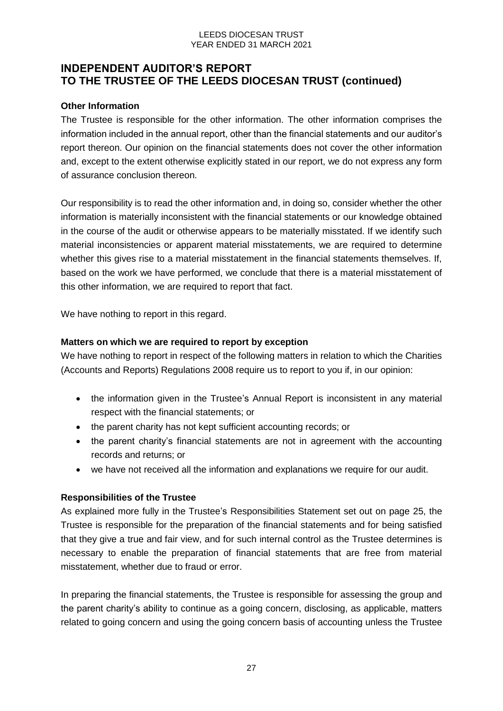### **INDEPENDENT AUDITOR'S REPORT TO THE TRUSTEE OF THE LEEDS DIOCESAN TRUST (continued)**

### **Other Information**

The Trustee is responsible for the other information. The other information comprises the information included in the annual report, other than the financial statements and our auditor's report thereon. Our opinion on the financial statements does not cover the other information and, except to the extent otherwise explicitly stated in our report, we do not express any form of assurance conclusion thereon.

Our responsibility is to read the other information and, in doing so, consider whether the other information is materially inconsistent with the financial statements or our knowledge obtained in the course of the audit or otherwise appears to be materially misstated. If we identify such material inconsistencies or apparent material misstatements, we are required to determine whether this gives rise to a material misstatement in the financial statements themselves. If, based on the work we have performed, we conclude that there is a material misstatement of this other information, we are required to report that fact.

We have nothing to report in this regard.

### **Matters on which we are required to report by exception**

We have nothing to report in respect of the following matters in relation to which the Charities (Accounts and Reports) Regulations 2008 require us to report to you if, in our opinion:

- the information given in the Trustee's Annual Report is inconsistent in any material respect with the financial statements; or
- the parent charity has not kept sufficient accounting records; or
- the parent charity's financial statements are not in agreement with the accounting records and returns; or
- we have not received all the information and explanations we require for our audit.

### **Responsibilities of the Trustee**

As explained more fully in the Trustee's Responsibilities Statement set out on page [25,](#page-26-0) the Trustee is responsible for the preparation of the financial statements and for being satisfied that they give a true and fair view, and for such internal control as the Trustee determines is necessary to enable the preparation of financial statements that are free from material misstatement, whether due to fraud or error.

In preparing the financial statements, the Trustee is responsible for assessing the group and the parent charity's ability to continue as a going concern, disclosing, as applicable, matters related to going concern and using the going concern basis of accounting unless the Trustee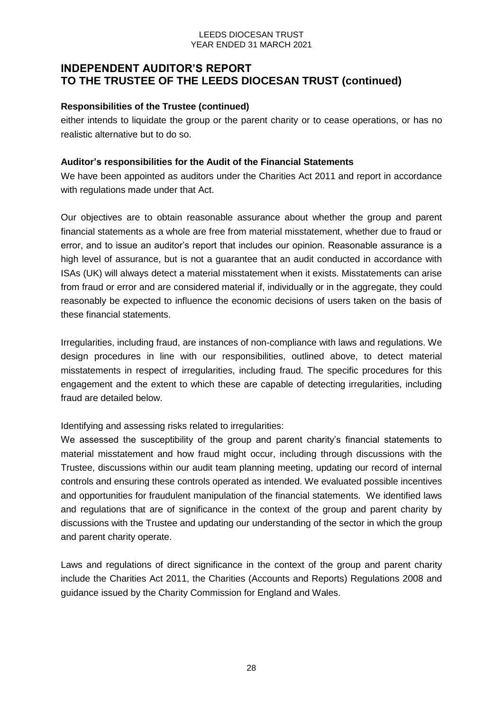### **INDEPENDENT AUDITOR'S REPORT TO THE TRUSTEE OF THE LEEDS DIOCESAN TRUST (continued)**

### **Responsibilities of the Trustee (continued)**

either intends to liquidate the group or the parent charity or to cease operations, or has no realistic alternative but to do so.

### **Auditor's responsibilities for the Audit of the Financial Statements**

We have been appointed as auditors under the Charities Act 2011 and report in accordance with regulations made under that Act.

Our objectives are to obtain reasonable assurance about whether the group and parent financial statements as a whole are free from material misstatement, whether due to fraud or error, and to issue an auditor's report that includes our opinion. Reasonable assurance is a high level of assurance, but is not a guarantee that an audit conducted in accordance with ISAs (UK) will always detect a material misstatement when it exists. Misstatements can arise from fraud or error and are considered material if, individually or in the aggregate, they could reasonably be expected to influence the economic decisions of users taken on the basis of these financial statements.

Irregularities, including fraud, are instances of non-compliance with laws and regulations. We design procedures in line with our responsibilities, outlined above, to detect material misstatements in respect of irregularities, including fraud. The specific procedures for this engagement and the extent to which these are capable of detecting irregularities, including fraud are detailed below.

Identifying and assessing risks related to irregularities:

We assessed the susceptibility of the group and parent charity's financial statements to material misstatement and how fraud might occur, including through discussions with the Trustee, discussions within our audit team planning meeting, updating our record of internal controls and ensuring these controls operated as intended. We evaluated possible incentives and opportunities for fraudulent manipulation of the financial statements. We identified laws and regulations that are of significance in the context of the group and parent charity by discussions with the Trustee and updating our understanding of the sector in which the group and parent charity operate.

Laws and regulations of direct significance in the context of the group and parent charity include the Charities Act 2011, the Charities (Accounts and Reports) Regulations 2008 and guidance issued by the Charity Commission for England and Wales.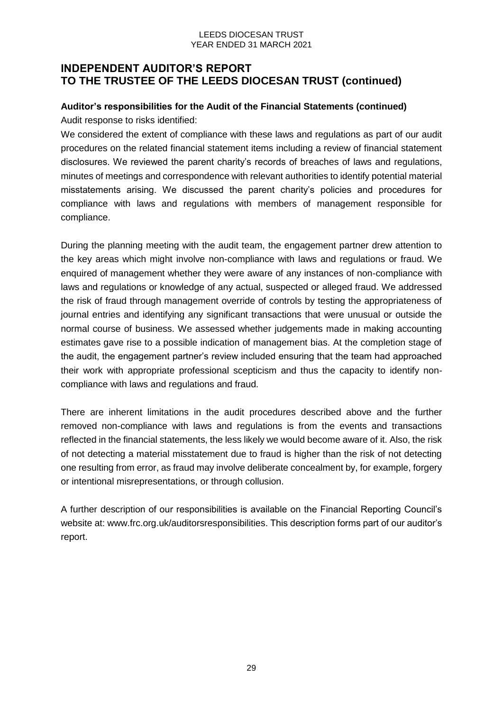### **INDEPENDENT AUDITOR'S REPORT TO THE TRUSTEE OF THE LEEDS DIOCESAN TRUST (continued)**

### **Auditor's responsibilities for the Audit of the Financial Statements (continued)** Audit response to risks identified:

We considered the extent of compliance with these laws and regulations as part of our audit procedures on the related financial statement items including a review of financial statement disclosures. We reviewed the parent charity's records of breaches of laws and regulations, minutes of meetings and correspondence with relevant authorities to identify potential material misstatements arising. We discussed the parent charity's policies and procedures for compliance with laws and regulations with members of management responsible for compliance.

During the planning meeting with the audit team, the engagement partner drew attention to the key areas which might involve non-compliance with laws and regulations or fraud. We enquired of management whether they were aware of any instances of non-compliance with laws and regulations or knowledge of any actual, suspected or alleged fraud. We addressed the risk of fraud through management override of controls by testing the appropriateness of journal entries and identifying any significant transactions that were unusual or outside the normal course of business. We assessed whether judgements made in making accounting estimates gave rise to a possible indication of management bias. At the completion stage of the audit, the engagement partner's review included ensuring that the team had approached their work with appropriate professional scepticism and thus the capacity to identify noncompliance with laws and regulations and fraud.

There are inherent limitations in the audit procedures described above and the further removed non-compliance with laws and regulations is from the events and transactions reflected in the financial statements, the less likely we would become aware of it. Also, the risk of not detecting a material misstatement due to fraud is higher than the risk of not detecting one resulting from error, as fraud may involve deliberate concealment by, for example, forgery or intentional misrepresentations, or through collusion.

A further description of our responsibilities is available on the Financial Reporting Council's website at: [www.frc.org.uk/auditorsresponsibilities.](http://www.frc.org.uk/auditorsresponsibilities) This description forms part of our auditor's report.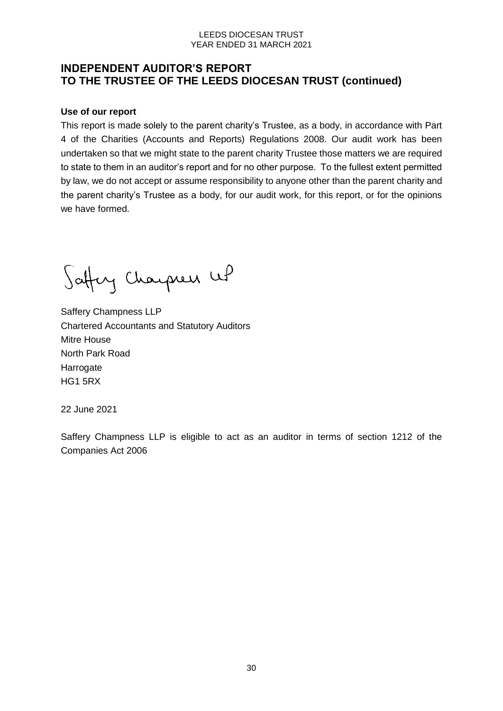### **INDEPENDENT AUDITOR'S REPORT TO THE TRUSTEE OF THE LEEDS DIOCESAN TRUST (continued)**

### **Use of our report**

This report is made solely to the parent charity's Trustee, as a body, in accordance with Part 4 of the Charities (Accounts and Reports) Regulations 2008. Our audit work has been undertaken so that we might state to the parent charity Trustee those matters we are required to state to them in an auditor's report and for no other purpose. To the fullest extent permitted by law, we do not accept or assume responsibility to anyone other than the parent charity and the parent charity's Trustee as a body, for our audit work, for this report, or for the opinions we have formed.

Saffery Charpiers UP

Saffery Champness LLP Chartered Accountants and Statutory Auditors Mitre House North Park Road Harrogate HG1 5RX

22 June 2021

Saffery Champness LLP is eligible to act as an auditor in terms of section 1212 of the Companies Act 2006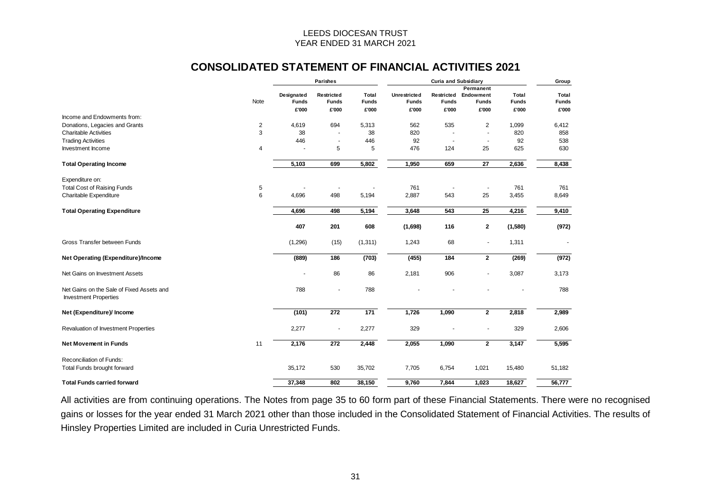### **CONSOLIDATED STATEMENT OF FINANCIAL ACTIVITIES 2021**

|                                                                           | Note           | Parishes                            |                                     |                                |                                       | <b>Curia and Subsidiary</b>         |                                                 |                                |                                | Group |
|---------------------------------------------------------------------------|----------------|-------------------------------------|-------------------------------------|--------------------------------|---------------------------------------|-------------------------------------|-------------------------------------------------|--------------------------------|--------------------------------|-------|
|                                                                           |                | Designated<br><b>Funds</b><br>£'000 | Restricted<br><b>Funds</b><br>£'000 | Total<br><b>Funds</b><br>£'000 | Unrestricted<br><b>Funds</b><br>£'000 | Restricted<br><b>Funds</b><br>£'000 | Permanent<br>Endowment<br><b>Funds</b><br>£'000 | Total<br><b>Funds</b><br>£'000 | Total<br><b>Funds</b><br>£'000 |       |
| Income and Endowments from:                                               |                |                                     |                                     |                                |                                       |                                     |                                                 |                                |                                |       |
| Donations, Legacies and Grants                                            | $\overline{2}$ | 4,619                               | 694                                 | 5,313                          | 562                                   | 535                                 | $\overline{c}$                                  | 1,099                          | 6,412                          |       |
| <b>Charitable Activities</b>                                              | 3              | 38                                  |                                     | 38                             | 820                                   | ÷,                                  |                                                 | 820                            | 858                            |       |
| <b>Trading Activities</b>                                                 |                | 446                                 | $\overline{\phantom{a}}$            | 446                            | 92                                    | $\ddot{\phantom{1}}$                | $\sim$                                          | 92                             | 538                            |       |
| Investment Income                                                         | $\overline{4}$ |                                     | 5                                   | 5                              | 476                                   | 124                                 | 25                                              | 625                            | 630                            |       |
| <b>Total Operating Income</b>                                             |                | 5,103                               | 699                                 | 5,802                          | 1,950                                 | 659                                 | 27                                              | 2,636                          | 8,438                          |       |
| Expenditure on:                                                           |                |                                     |                                     |                                |                                       |                                     |                                                 |                                |                                |       |
| <b>Total Cost of Raising Funds</b>                                        | 5              |                                     |                                     |                                | 761                                   | ٠                                   | $\blacksquare$                                  | 761                            | 761                            |       |
| Charitable Expenditure                                                    | 6              | 4,696                               | 498                                 | 5,194                          | 2,887                                 | 543                                 | 25                                              | 3,455                          | 8,649                          |       |
| <b>Total Operating Expenditure</b>                                        |                | 4,696                               | 498                                 | 5,194                          | 3,648                                 | 543                                 | 25                                              | 4,216                          | 9,410                          |       |
|                                                                           |                | 407                                 | 201                                 | 608                            | (1,698)                               | 116                                 | $\mathbf{2}$                                    | (1,580)                        | (972)                          |       |
| Gross Transfer between Funds                                              |                | (1,296)                             | (15)                                | (1, 311)                       | 1,243                                 | 68                                  | $\blacksquare$                                  | 1,311                          |                                |       |
| Net Operating (Expenditure)/Income                                        |                | (889)                               | 186                                 | (703)                          | (455)                                 | 184                                 | $\mathbf{2}$                                    | (269)                          | (972)                          |       |
| Net Gains on Investment Assets                                            |                | $\sim$                              | 86                                  | 86                             | 2,181                                 | 906                                 | $\sim$                                          | 3,087                          | 3,173                          |       |
| Net Gains on the Sale of Fixed Assets and<br><b>Investment Properties</b> |                | 788                                 | $\sim$                              | 788                            |                                       |                                     |                                                 |                                | 788                            |       |
| Net (Expenditure)/ Income                                                 |                | (101)                               | 272                                 | $\frac{1}{171}$                | 1,726                                 | 1,090                               | $\mathbf{2}$                                    | 2,818                          | 2,989                          |       |
| <b>Revaluation of Investment Properties</b>                               |                | 2,277                               | $\sim$                              | 2,277                          | 329                                   |                                     | $\overline{\phantom{a}}$                        | 329                            | 2,606                          |       |
| <b>Net Movement in Funds</b>                                              | 11             | 2,176                               | 272                                 | 2,448                          | 2,055                                 | 1,090                               | $\overline{2}$                                  | 3,147                          | 5,595                          |       |
| Reconciliation of Funds:                                                  |                |                                     |                                     |                                |                                       |                                     |                                                 |                                |                                |       |
| Total Funds brought forward                                               |                | 35,172                              | 530                                 | 35,702                         | 7,705                                 | 6,754                               | 1,021                                           | 15,480                         | 51,182                         |       |
| <b>Total Funds carried forward</b>                                        |                | 37,348                              | 802                                 | 38,150                         | 9,760                                 | 7,844                               | 1,023                                           | 18,627                         | 56,777                         |       |

<span id="page-32-0"></span>All activities are from continuing operations. The Notes from page [35](#page-36-1) to [60](#page-61-0) form part of these Financial Statements. There were no recognised gains or losses for the year ended 31 March 2021 other than those included in the Consolidated Statement of Financial Activities. The results of Hinsley Properties Limited are included in Curia Unrestricted Funds.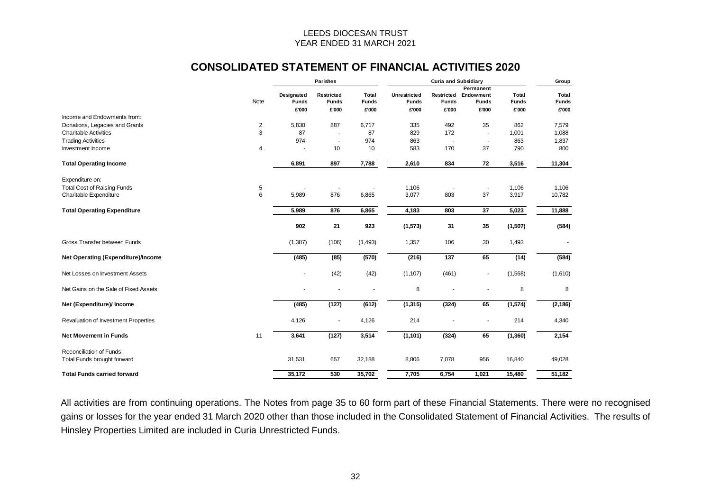### **CONSOLIDATED STATEMENT OF FINANCIAL ACTIVITIES 2020**

|                                                                | Note           | Parishes                            |                                     |                                |                                              | <b>Curia and Subsidiary</b>         |                                                 |                                |                                | Group |
|----------------------------------------------------------------|----------------|-------------------------------------|-------------------------------------|--------------------------------|----------------------------------------------|-------------------------------------|-------------------------------------------------|--------------------------------|--------------------------------|-------|
|                                                                |                | Designated<br><b>Funds</b><br>£'000 | Restricted<br><b>Funds</b><br>£'000 | Total<br><b>Funds</b><br>£'000 | <b>Unrestricted</b><br><b>Funds</b><br>£'000 | Restricted<br><b>Funds</b><br>£'000 | Permanent<br>Endowment<br><b>Funds</b><br>£'000 | Total<br><b>Funds</b><br>£'000 | Total<br><b>Funds</b><br>£'000 |       |
| Income and Endowments from:                                    |                |                                     |                                     |                                |                                              |                                     |                                                 |                                |                                |       |
| Donations, Legacies and Grants                                 | $\overline{2}$ | 5,830                               | 887                                 | 6,717                          | 335                                          | 492                                 | 35                                              | 862                            | 7,579                          |       |
| <b>Charitable Activities</b>                                   | 3              | 87                                  | $\overline{\phantom{a}}$            | 87                             | 829                                          | 172                                 | $\blacksquare$                                  | 1,001                          | 1,088                          |       |
| <b>Trading Activities</b>                                      |                | 974                                 | $\sim$                              | 974                            | 863                                          | $\overline{\phantom{a}}$            | $\sim$                                          | 863                            | 1,837                          |       |
| Investment Income                                              | 4              |                                     | 10                                  | 10                             | 583                                          | 170                                 | 37                                              | 790                            | 800                            |       |
| <b>Total Operating Income</b>                                  |                | 6,891                               | 897                                 | 7,788                          | 2,610                                        | 834                                 | 72                                              | 3,516                          | 11,304                         |       |
| Expenditure on:                                                |                |                                     |                                     |                                |                                              |                                     |                                                 |                                |                                |       |
| <b>Total Cost of Raising Funds</b>                             | 5              |                                     | $\overline{\phantom{a}}$            |                                | 1,106                                        | $\overline{\phantom{a}}$            | $\sim$                                          | 1,106                          | 1,106                          |       |
| Charitable Expenditure                                         | 6              | 5,989                               | 876                                 | 6,865                          | 3,077                                        | 803                                 | 37                                              | 3,917                          | 10,782                         |       |
| <b>Total Operating Expenditure</b>                             |                | 5,989                               | 876                                 | 6,865                          | 4,183                                        | 803                                 | 37                                              | 5,023                          | 11,888                         |       |
|                                                                |                | 902                                 | 21                                  | 923                            | (1, 573)                                     | 31                                  | 35                                              | (1,507)                        | (584)                          |       |
| Gross Transfer between Funds                                   |                | (1, 387)                            | (106)                               | (1, 493)                       | 1,357                                        | 106                                 | 30                                              | 1,493                          |                                |       |
| Net Operating (Expenditure)/Income                             |                | (485)                               | (85)                                | (570)                          | (216)                                        | 137                                 | 65                                              | (14)                           | (584)                          |       |
| Net Losses on Investment Assets                                |                |                                     | (42)                                | (42)                           | (1, 107)                                     | (461)                               | $\overline{\phantom{a}}$                        | (1,568)                        | (1,610)                        |       |
| Net Gains on the Sale of Fixed Assets                          |                |                                     |                                     |                                | 8                                            |                                     |                                                 | 8                              | 8                              |       |
| Net (Expenditure)/ Income                                      |                | (485)                               | (127)                               | (612)                          | (1, 315)                                     | (324)                               | 65                                              | (1, 574)                       | (2, 186)                       |       |
| Revaluation of Investment Properties                           |                | 4,126                               | $\blacksquare$                      | 4,126                          | 214                                          |                                     | $\sim$                                          | 214                            | 4,340                          |       |
| <b>Net Movement in Funds</b>                                   | 11             | 3,641                               | (127)                               | 3,514                          | (1, 101)                                     | (324)                               | 65                                              | (1, 360)                       | 2,154                          |       |
| <b>Reconciliation of Funds:</b><br>Total Funds brought forward |                | 31,531                              | 657                                 | 32,188                         | 8,806                                        | 7,078                               | 956                                             | 16,840                         | 49,028                         |       |
| <b>Total Funds carried forward</b>                             |                | 35.172                              | 530                                 | 35,702                         | 7,705                                        | 6,754                               | 1,021                                           | 15,480                         | $\overline{51,182}$            |       |

<span id="page-33-0"></span>All activities are from continuing operations. The Notes from page [35](#page-36-2) to [60](#page-61-0) form part of these Financial Statements. There were no recognised gains or losses for the year ended 31 March 2020 other than those included in the Consolidated Statement of Financial Activities. The results of Hinsley Properties Limited are included in Curia Unrestricted Funds.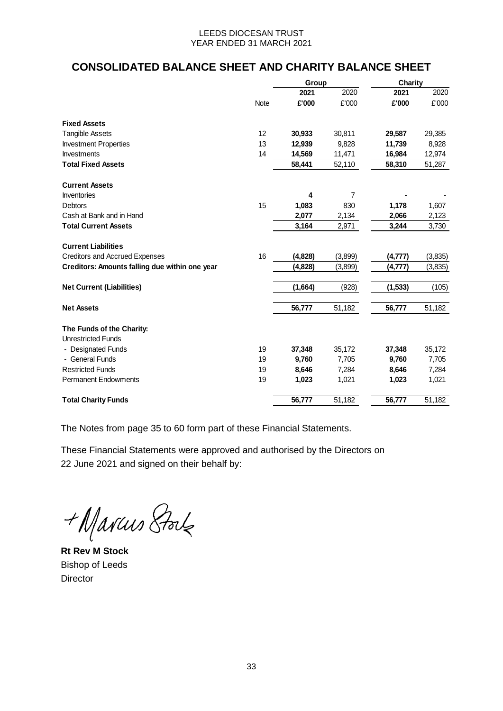## <span id="page-34-0"></span>**CONSOLIDATED BALANCE SHEET AND CHARITY BALANCE SHEET**

|                                                |             | Group   |         | <b>Charity</b> |          |  |
|------------------------------------------------|-------------|---------|---------|----------------|----------|--|
|                                                |             | 2021    | 2020    | 2021           | 2020     |  |
|                                                | <b>Note</b> | £'000   | £'000   | £'000          | £'000    |  |
| <b>Fixed Assets</b>                            |             |         |         |                |          |  |
| Tangible Assets                                | 12          | 30,933  | 30,811  | 29,587         | 29,385   |  |
| <b>Investment Properties</b>                   | 13          | 12,939  | 9,828   | 11,739         | 8,928    |  |
| <b>Investments</b>                             | 14          | 14,569  | 11,471  | 16,984         | 12,974   |  |
| <b>Total Fixed Assets</b>                      |             | 58,441  | 52,110  | 58,310         | 51,287   |  |
| <b>Current Assets</b>                          |             |         |         |                |          |  |
| <b>Inventories</b>                             |             | 4       | 7       |                |          |  |
| <b>Debtors</b>                                 | 15          | 1,083   | 830     | 1,178          | 1,607    |  |
| Cash at Bank and in Hand                       |             | 2,077   | 2,134   | 2,066          | 2,123    |  |
| <b>Total Current Assets</b>                    |             | 3,164   | 2,971   | 3,244          | 3,730    |  |
| <b>Current Liabilities</b>                     |             |         |         |                |          |  |
| Creditors and Accrued Expenses                 | 16          | (4,828) | (3,899) | (4, 777)       | (3, 835) |  |
| Creditors: Amounts falling due within one year |             | (4,828) | (3,899) | (4, 777)       | (3, 835) |  |
| <b>Net Current (Liabilities)</b>               |             | (1,664) | (928)   | (1, 533)       | (105)    |  |
| <b>Net Assets</b>                              |             | 56,777  | 51,182  | 56,777         | 51,182   |  |
| The Funds of the Charity:                      |             |         |         |                |          |  |
| <b>Unrestricted Funds</b>                      |             |         |         |                |          |  |
| - Designated Funds                             | 19          | 37,348  | 35,172  | 37,348         | 35,172   |  |
| - General Funds                                | 19          | 9,760   | 7,705   | 9,760          | 7,705    |  |
| <b>Restricted Funds</b>                        | 19          | 8,646   | 7,284   | 8,646          | 7,284    |  |
| <b>Permanent Endowments</b>                    | 19          | 1,023   | 1,021   | 1,023          | 1,021    |  |
| <b>Total Charity Funds</b>                     |             | 56,777  | 51,182  | 56,777         | 51,182   |  |

The Notes from page [35](#page-36-0) to [60](#page-61-1) form part of these Financial Statements.

These Financial Statements were approved and authorised by the Directors on 22 June 2021 and signed on their behalf by:

+ Marcus Stock

**Rt Rev M Stock** Bishop of Leeds **Director**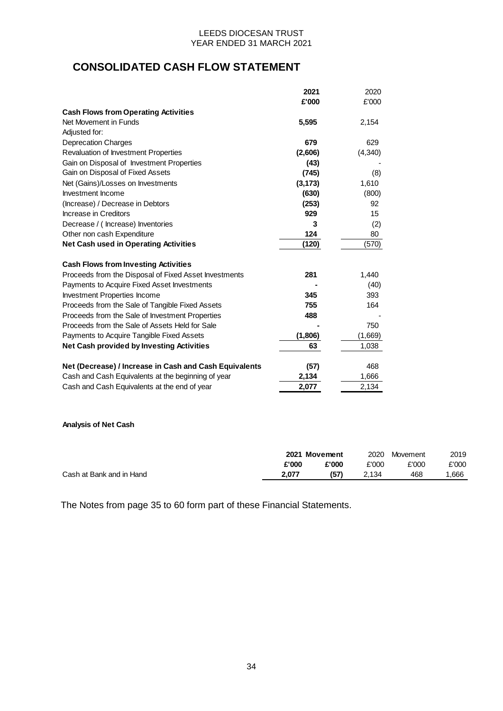## <span id="page-35-0"></span>**CONSOLIDATED CASH FLOW STATEMENT**

|                                                        | 2021     | 2020     |
|--------------------------------------------------------|----------|----------|
|                                                        | £'000    | £'000    |
| <b>Cash Flows from Operating Activities</b>            |          |          |
| Net Movement in Funds                                  | 5,595    | 2,154    |
| Adjusted for:                                          |          |          |
| <b>Deprecation Charges</b>                             | 679      | 629      |
| <b>Revaluation of Investment Properties</b>            | (2,606)  | (4, 340) |
| Gain on Disposal of Investment Properties              | (43)     |          |
| Gain on Disposal of Fixed Assets                       | (745)    | (8)      |
| Net (Gains)/Losses on Investments                      | (3, 173) | 1,610    |
| Investment Income                                      | (630)    | (800)    |
| (Increase) / Decrease in Debtors                       | (253)    | 92       |
| Increase in Creditors                                  | 929      | 15       |
| Decrease / (Increase) Inventories                      | 3        | (2)      |
| Other non cash Expenditure                             | 124      | 80       |
| <b>Net Cash used in Operating Activities</b>           | (120)    | (570)    |
| <b>Cash Flows from Investing Activities</b>            |          |          |
| Proceeds from the Disposal of Fixed Asset Investments  | 281      | 1,440    |
| Payments to Acquire Fixed Asset Investments            |          | (40)     |
| <b>Investment Properties Income</b>                    | 345      | 393      |
| Proceeds from the Sale of Tangible Fixed Assets        | 755      | 164      |
| Proceeds from the Sale of Investment Properties        | 488      |          |
| Proceeds from the Sale of Assets Held for Sale         |          | 750      |
| Payments to Acquire Tangible Fixed Assets              | (1,806)  | (1,669)  |
| <b>Net Cash provided by Investing Activities</b>       | 63       | 1,038    |
| Net (Decrease) / Increase in Cash and Cash Equivalents | (57)     | 468      |
| Cash and Cash Equivalents at the beginning of year     | 2,134    | 1,666    |
| Cash and Cash Equivalents at the end of year           | 2,077    | 2,134    |

#### **Analysis of Net Cash**

|                          |       | 2021 Movement | 2020  | Movement | 2019  |
|--------------------------|-------|---------------|-------|----------|-------|
|                          | £'000 | £'000         | £'000 | £'000    | £'000 |
| Cash at Bank and in Hand | 2.077 | (57)          | 2.134 | 468      | .666  |

The Notes from page [35](#page-36-3) to [60](#page-61-1) form part of these Financial Statements.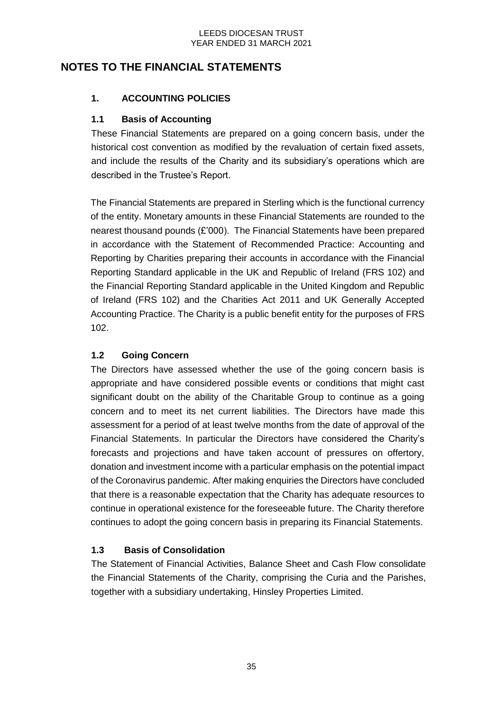## <span id="page-36-2"></span><span id="page-36-1"></span><span id="page-36-0"></span>**NOTES TO THE FINANCIAL STATEMENTS**

### <span id="page-36-3"></span>**1. ACCOUNTING POLICIES**

### **1.1 Basis of Accounting**

These Financial Statements are prepared on a going concern basis, under the historical cost convention as modified by the revaluation of certain fixed assets, and include the results of the Charity and its subsidiary's operations which are described in the Trustee's Report.

The Financial Statements are prepared in Sterling which is the functional currency of the entity. Monetary amounts in these Financial Statements are rounded to the nearest thousand pounds (£'000). The Financial Statements have been prepared in accordance with the Statement of Recommended Practice: Accounting and Reporting by Charities preparing their accounts in accordance with the Financial Reporting Standard applicable in the UK and Republic of Ireland (FRS 102) and the Financial Reporting Standard applicable in the United Kingdom and Republic of Ireland (FRS 102) and the Charities Act 2011 and UK Generally Accepted Accounting Practice. The Charity is a public benefit entity for the purposes of FRS 102.

### **1.2 Going Concern**

The Directors have assessed whether the use of the going concern basis is appropriate and have considered possible events or conditions that might cast significant doubt on the ability of the Charitable Group to continue as a going concern and to meet its net current liabilities. The Directors have made this assessment for a period of at least twelve months from the date of approval of the Financial Statements. In particular the Directors have considered the Charity's forecasts and projections and have taken account of pressures on offertory, donation and investment income with a particular emphasis on the potential impact of the Coronavirus pandemic. After making enquiries the Directors have concluded that there is a reasonable expectation that the Charity has adequate resources to continue in operational existence for the foreseeable future. The Charity therefore continues to adopt the going concern basis in preparing its Financial Statements.

### **1.3 Basis of Consolidation**

The Statement of Financial Activities, Balance Sheet and Cash Flow consolidate the Financial Statements of the Charity, comprising the Curia and the Parishes, together with a subsidiary undertaking, Hinsley Properties Limited.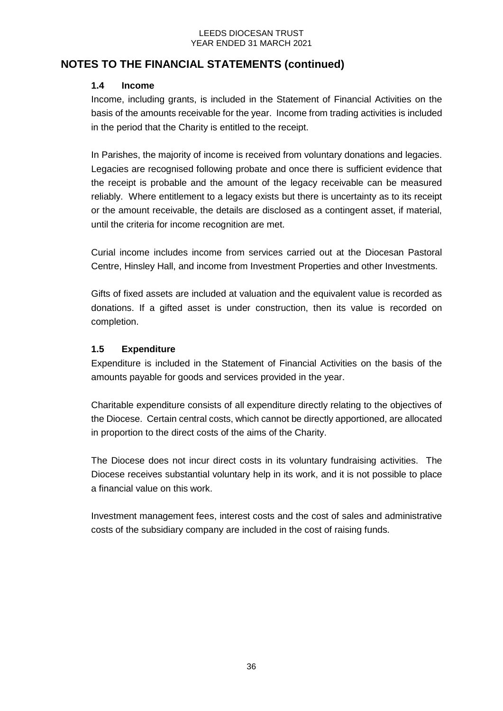### **NOTES TO THE FINANCIAL STATEMENTS (continued)**

### **1.4 Income**

Income, including grants, is included in the Statement of Financial Activities on the basis of the amounts receivable for the year. Income from trading activities is included in the period that the Charity is entitled to the receipt.

In Parishes, the majority of income is received from voluntary donations and legacies. Legacies are recognised following probate and once there is sufficient evidence that the receipt is probable and the amount of the legacy receivable can be measured reliably. Where entitlement to a legacy exists but there is uncertainty as to its receipt or the amount receivable, the details are disclosed as a contingent asset, if material, until the criteria for income recognition are met.

Curial income includes income from services carried out at the Diocesan Pastoral Centre, Hinsley Hall, and income from Investment Properties and other Investments.

Gifts of fixed assets are included at valuation and the equivalent value is recorded as donations. If a gifted asset is under construction, then its value is recorded on completion.

### **1.5 Expenditure**

Expenditure is included in the Statement of Financial Activities on the basis of the amounts payable for goods and services provided in the year.

Charitable expenditure consists of all expenditure directly relating to the objectives of the Diocese. Certain central costs, which cannot be directly apportioned, are allocated in proportion to the direct costs of the aims of the Charity.

The Diocese does not incur direct costs in its voluntary fundraising activities. The Diocese receives substantial voluntary help in its work, and it is not possible to place a financial value on this work.

Investment management fees, interest costs and the cost of sales and administrative costs of the subsidiary company are included in the cost of raising funds.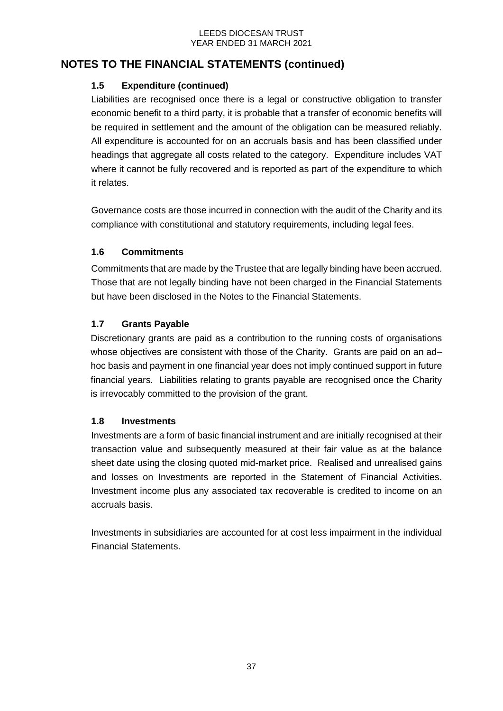## **NOTES TO THE FINANCIAL STATEMENTS (continued)**

### **1.5 Expenditure (continued)**

Liabilities are recognised once there is a legal or constructive obligation to transfer economic benefit to a third party, it is probable that a transfer of economic benefits will be required in settlement and the amount of the obligation can be measured reliably. All expenditure is accounted for on an accruals basis and has been classified under headings that aggregate all costs related to the category. Expenditure includes VAT where it cannot be fully recovered and is reported as part of the expenditure to which it relates.

Governance costs are those incurred in connection with the audit of the Charity and its compliance with constitutional and statutory requirements, including legal fees.

### **1.6 Commitments**

Commitments that are made by the Trustee that are legally binding have been accrued. Those that are not legally binding have not been charged in the Financial Statements but have been disclosed in the Notes to the Financial Statements.

### **1.7 Grants Payable**

Discretionary grants are paid as a contribution to the running costs of organisations whose objectives are consistent with those of the Charity. Grants are paid on an ad– hoc basis and payment in one financial year does not imply continued support in future financial years. Liabilities relating to grants payable are recognised once the Charity is irrevocably committed to the provision of the grant.

### **1.8 Investments**

Investments are a form of basic financial instrument and are initially recognised at their transaction value and subsequently measured at their fair value as at the balance sheet date using the closing quoted mid-market price. Realised and unrealised gains and losses on Investments are reported in the Statement of Financial Activities. Investment income plus any associated tax recoverable is credited to income on an accruals basis.

Investments in subsidiaries are accounted for at cost less impairment in the individual Financial Statements.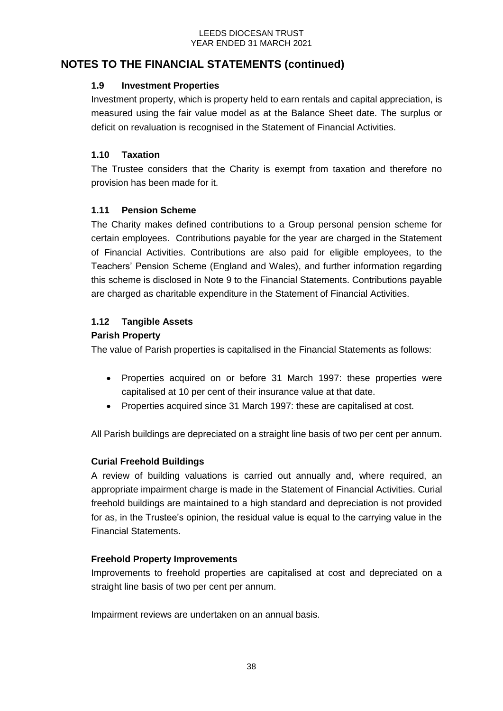## **NOTES TO THE FINANCIAL STATEMENTS (continued)**

### **1.9 Investment Properties**

Investment property, which is property held to earn rentals and capital appreciation, is measured using the fair value model as at the Balance Sheet date. The surplus or deficit on revaluation is recognised in the Statement of Financial Activities.

### **1.10 Taxation**

The Trustee considers that the Charity is exempt from taxation and therefore no provision has been made for it.

### **1.11 Pension Scheme**

The Charity makes defined contributions to a Group personal pension scheme for certain employees. Contributions payable for the year are charged in the Statement of Financial Activities. Contributions are also paid for eligible employees, to the Teachers' Pension Scheme (England and Wales), and further information regarding this scheme is disclosed in Note 9 to the Financial Statements. Contributions payable are charged as charitable expenditure in the Statement of Financial Activities.

### **1.12 Tangible Assets**

### **Parish Property**

The value of Parish properties is capitalised in the Financial Statements as follows:

- Properties acquired on or before 31 March 1997: these properties were capitalised at 10 per cent of their insurance value at that date.
- Properties acquired since 31 March 1997: these are capitalised at cost.

All Parish buildings are depreciated on a straight line basis of two per cent per annum.

### **Curial Freehold Buildings**

A review of building valuations is carried out annually and, where required, an appropriate impairment charge is made in the Statement of Financial Activities. Curial freehold buildings are maintained to a high standard and depreciation is not provided for as, in the Trustee's opinion, the residual value is equal to the carrying value in the Financial Statements.

### **Freehold Property Improvements**

Improvements to freehold properties are capitalised at cost and depreciated on a straight line basis of two per cent per annum.

Impairment reviews are undertaken on an annual basis.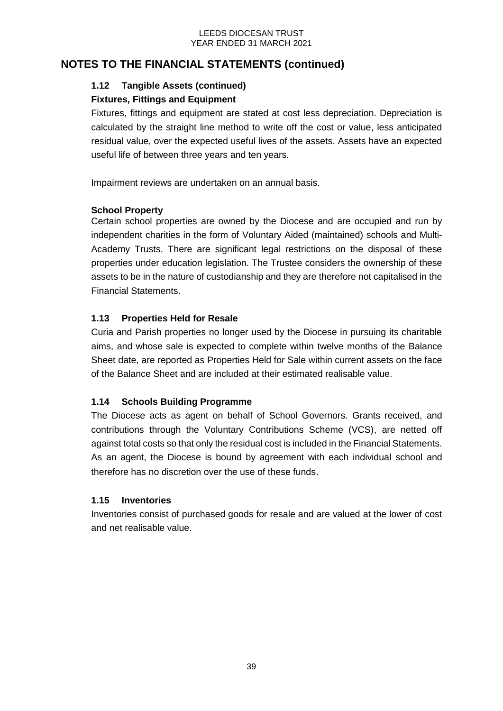### **NOTES TO THE FINANCIAL STATEMENTS (continued)**

### **1.12 Tangible Assets (continued) Fixtures, Fittings and Equipment**

Fixtures, fittings and equipment are stated at cost less depreciation. Depreciation is calculated by the straight line method to write off the cost or value, less anticipated residual value, over the expected useful lives of the assets. Assets have an expected useful life of between three years and ten years.

Impairment reviews are undertaken on an annual basis.

### **School Property**

Certain school properties are owned by the Diocese and are occupied and run by independent charities in the form of Voluntary Aided (maintained) schools and Multi-Academy Trusts. There are significant legal restrictions on the disposal of these properties under education legislation. The Trustee considers the ownership of these assets to be in the nature of custodianship and they are therefore not capitalised in the Financial Statements.

### **1.13 Properties Held for Resale**

Curia and Parish properties no longer used by the Diocese in pursuing its charitable aims, and whose sale is expected to complete within twelve months of the Balance Sheet date, are reported as Properties Held for Sale within current assets on the face of the Balance Sheet and are included at their estimated realisable value.

### **1.14 Schools Building Programme**

The Diocese acts as agent on behalf of School Governors. Grants received, and contributions through the Voluntary Contributions Scheme (VCS), are netted off against total costs so that only the residual cost is included in the Financial Statements. As an agent, the Diocese is bound by agreement with each individual school and therefore has no discretion over the use of these funds.

### **1.15 Inventories**

Inventories consist of purchased goods for resale and are valued at the lower of cost and net realisable value.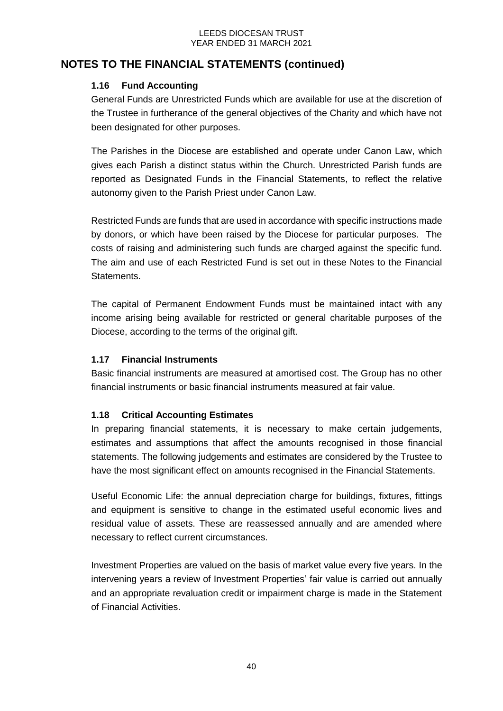## **NOTES TO THE FINANCIAL STATEMENTS (continued)**

### **1.16 Fund Accounting**

General Funds are Unrestricted Funds which are available for use at the discretion of the Trustee in furtherance of the general objectives of the Charity and which have not been designated for other purposes.

The Parishes in the Diocese are established and operate under Canon Law, which gives each Parish a distinct status within the Church. Unrestricted Parish funds are reported as Designated Funds in the Financial Statements, to reflect the relative autonomy given to the Parish Priest under Canon Law.

Restricted Funds are funds that are used in accordance with specific instructions made by donors, or which have been raised by the Diocese for particular purposes. The costs of raising and administering such funds are charged against the specific fund. The aim and use of each Restricted Fund is set out in these Notes to the Financial Statements.

The capital of Permanent Endowment Funds must be maintained intact with any income arising being available for restricted or general charitable purposes of the Diocese, according to the terms of the original gift.

### **1.17 Financial Instruments**

Basic financial instruments are measured at amortised cost. The Group has no other financial instruments or basic financial instruments measured at fair value.

### **1.18 Critical Accounting Estimates**

In preparing financial statements, it is necessary to make certain judgements, estimates and assumptions that affect the amounts recognised in those financial statements. The following judgements and estimates are considered by the Trustee to have the most significant effect on amounts recognised in the Financial Statements.

Useful Economic Life: the annual depreciation charge for buildings, fixtures, fittings and equipment is sensitive to change in the estimated useful economic lives and residual value of assets. These are reassessed annually and are amended where necessary to reflect current circumstances.

Investment Properties are valued on the basis of market value every five years. In the intervening years a review of Investment Properties' fair value is carried out annually and an appropriate revaluation credit or impairment charge is made in the Statement of Financial Activities.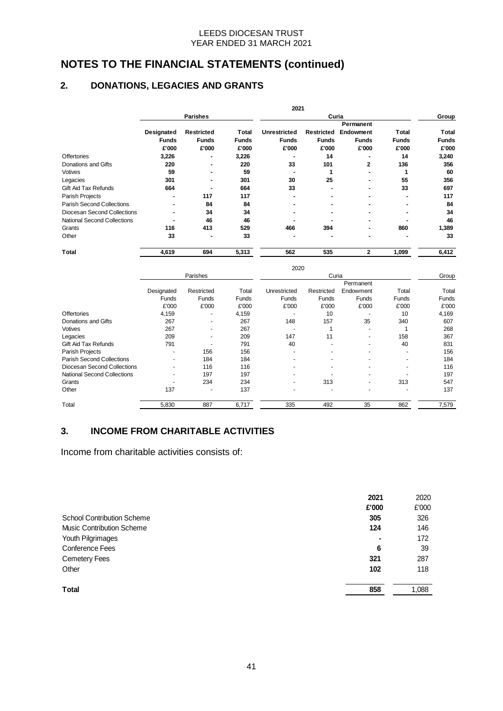## **NOTES TO THE FINANCIAL STATEMENTS (continued)**

### **2. DONATIONS, LEGACIES AND GRANTS**

|                                    | 2021         |                   |              |                     |                   |                |              |              |  |
|------------------------------------|--------------|-------------------|--------------|---------------------|-------------------|----------------|--------------|--------------|--|
|                                    |              | <b>Parishes</b>   |              |                     | Curia             |                |              |              |  |
|                                    |              |                   |              |                     |                   | Permanent      |              |              |  |
|                                    | Designated   | <b>Restricted</b> | Total        | <b>Unrestricted</b> | <b>Restricted</b> | Endowment      | Total        | <b>Total</b> |  |
|                                    | <b>Funds</b> | <b>Funds</b>      | <b>Funds</b> | <b>Funds</b>        | <b>Funds</b>      | <b>Funds</b>   | <b>Funds</b> | <b>Funds</b> |  |
|                                    | £'000        | £'000             | £'000        | £'000               | £'000             | £'000          | £'000        | £'000        |  |
| Offertories                        | 3,226        | ۰                 | 3,226        |                     | 14                | ۰              | 14           | 3,240        |  |
| Donations and Gifts                | 220          | ۰                 | 220          | 33                  | 101               | 2              | 136          | 356          |  |
| <b>Votives</b>                     | 59           | ۰                 | 59           |                     |                   | ٠              |              | 60           |  |
| Legacies                           | 301          | ٠                 | 301          | 30                  | 25                | ٠              | 55           | 356          |  |
| Gift Aid Tax Refunds               | 664          | ۰                 | 664          | 33                  |                   | ٠              | 33           | 697          |  |
| Parish Projects                    |              | 117               | 117          |                     |                   | ٠              | ۰            | 117          |  |
| <b>Parish Second Collections</b>   |              | 84                | 84           |                     |                   | ٠              | ۰            | 84           |  |
| Diocesan Second Collections        |              | 34                | 34           |                     |                   |                |              | 34           |  |
| <b>National Second Collections</b> |              | 46                | 46           |                     |                   | $\blacksquare$ |              | 46           |  |
| Grants                             | 116          | 413               | 529          | 466                 | 394               |                | 860          | 1,389        |  |
| Other                              | 33           | ٠                 | 33           |                     | ٠                 | ۰              | ۰            | 33           |  |
| Total                              | 4,619        | 694               | 5,313        | 562                 | 535               | 2              | 1,099        | 6,412        |  |

|                                    |                          |                          |       | 2020         |            |                          |                          |              |  |
|------------------------------------|--------------------------|--------------------------|-------|--------------|------------|--------------------------|--------------------------|--------------|--|
|                                    |                          | Parishes                 |       |              | Curia      |                          |                          |              |  |
|                                    |                          |                          |       |              |            | Permanent                |                          |              |  |
|                                    | Designated               | Restricted               | Total | Unrestricted | Restricted | Endowment                | Total                    | Total        |  |
|                                    | Funds                    | Funds                    | Funds | Funds        | Funds      | <b>Funds</b>             | <b>Funds</b>             | <b>Funds</b> |  |
|                                    | £'000                    | £'000                    | £'000 | £'000        | £'000      | £'000                    | £'000                    | £'000        |  |
| <b>Offertories</b>                 | 4,159                    | $\overline{\phantom{a}}$ | 4,159 |              | 10         |                          | 10                       | 4,169        |  |
| Donations and Gifts                | 267                      | ۰                        | 267   | 148          | 157        | 35                       | 340                      | 607          |  |
| <b>Votives</b>                     | 267                      | $\overline{\phantom{a}}$ | 267   |              |            | $\overline{\phantom{0}}$ |                          | 268          |  |
| Legacies                           | 209                      |                          | 209   | 147          | 11         | ٠                        | 158                      | 367          |  |
| Gift Aid Tax Refunds               | 791                      | ۰                        | 791   | 40           |            | $\overline{\phantom{a}}$ | 40                       | 831          |  |
| Parish Projects                    |                          | 156                      | 156   | ٠            |            | $\overline{\phantom{a}}$ | ۰                        | 156          |  |
| <b>Parish Second Collections</b>   | ٠                        | 184                      | 184   |              | ٠          | $\overline{\phantom{a}}$ | $\overline{\phantom{a}}$ | 184          |  |
| Diocesan Second Collections        |                          | 116                      | 116   |              |            |                          | ۰                        | 116          |  |
| <b>National Second Collections</b> | $\overline{\phantom{0}}$ | 197                      | 197   |              |            | $\overline{\phantom{a}}$ |                          | 197          |  |
| Grants                             |                          | 234                      | 234   |              | 313        | ٠                        | 313                      | 547          |  |
| Other                              | 137                      | $\overline{\phantom{a}}$ | 137   |              | ۰          | $\overline{\phantom{a}}$ |                          | 137          |  |
| Total                              | 5,830                    | 887                      | 6,717 | 335          | 492        | 35                       | 862                      | 7,579        |  |

### **3. INCOME FROM CHARITABLE ACTIVITIES**

Income from charitable activities consists of:

|                                   | 2021  | 2020  |
|-----------------------------------|-------|-------|
|                                   | £'000 | £'000 |
| <b>School Contribution Scheme</b> | 305   | 326   |
| <b>Music Contribution Scheme</b>  | 124   | 146   |
| Youth Pilgrimages                 |       | 172   |
| Conference Fees                   | 6     | 39    |
| <b>Cemetery Fees</b>              | 321   | 287   |
| Other                             | 102   | 118   |
| <b>Total</b>                      | 858   | 1,088 |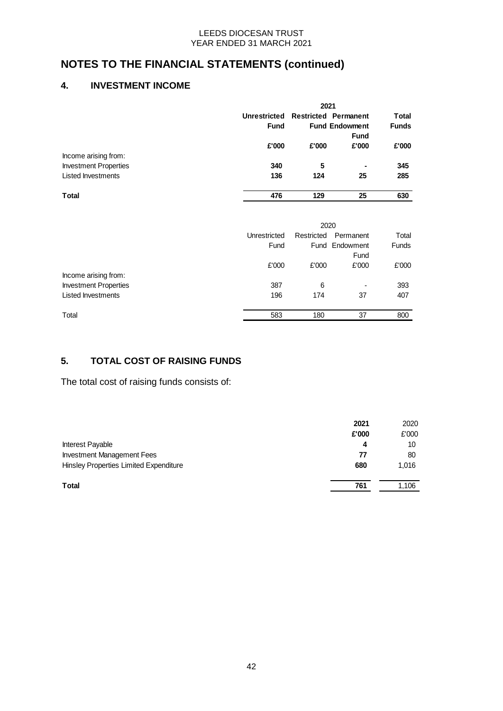## **NOTES TO THE FINANCIAL STATEMENTS (continued)**

### **4. INVESTMENT INCOME**

|                              |              | 2021                        |                       |              |  |  |  |  |
|------------------------------|--------------|-----------------------------|-----------------------|--------------|--|--|--|--|
|                              | Unrestricted | <b>Restricted Permanent</b> |                       | Total        |  |  |  |  |
|                              | <b>Fund</b>  |                             | <b>Fund Endowment</b> | <b>Funds</b> |  |  |  |  |
|                              |              |                             | <b>Fund</b>           |              |  |  |  |  |
|                              | £'000        | £'000                       | £'000                 | £'000        |  |  |  |  |
| Income arising from:         |              |                             |                       |              |  |  |  |  |
| <b>Investment Properties</b> | 340          | 5                           | ۰                     | 345          |  |  |  |  |
| <b>Listed Investments</b>    | 136          | 124                         | 25                    | 285          |  |  |  |  |
| <b>Total</b>                 | 476          | 129                         | 25                    | 630          |  |  |  |  |

|                              | 2020         |                         |                        |              |  |  |
|------------------------------|--------------|-------------------------|------------------------|--------------|--|--|
|                              | Unrestricted | Restricted<br>Permanent |                        |              |  |  |
|                              | Fund         |                         | Fund Endowment<br>Fund | <b>Funds</b> |  |  |
|                              | £'000        | £'000                   | £'000                  | £'000        |  |  |
| Income arising from:         |              |                         |                        |              |  |  |
| <b>Investment Properties</b> | 387          | 6                       | ۰                      | 393          |  |  |
| <b>Listed Investments</b>    | 196          | 174                     | 37                     | 407          |  |  |
| Total                        | 583          | 180                     | 37                     | 800          |  |  |

### **5. TOTAL COST OF RAISING FUNDS**

The total cost of raising funds consists of:

|                                        | 2021  | 2020  |
|----------------------------------------|-------|-------|
|                                        | £'000 | £'000 |
| Interest Payable                       | 4     | 10    |
| Investment Management Fees             | 77    | 80    |
| Hinsley Properties Limited Expenditure | 680   | 1,016 |
| <b>Total</b>                           | 761   | 1,106 |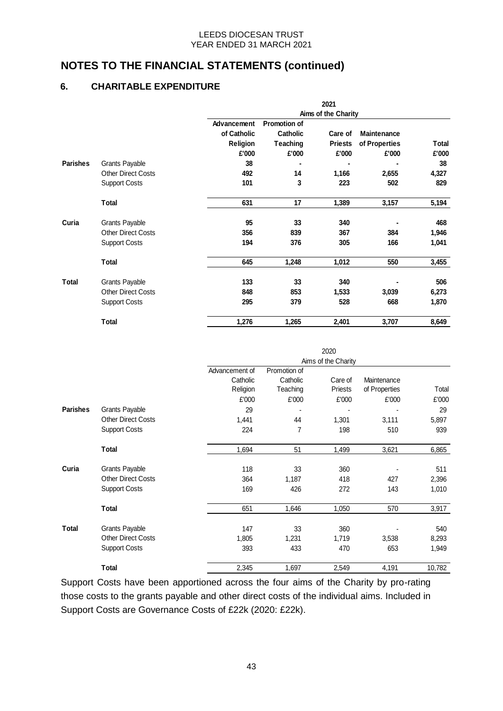## **NOTES TO THE FINANCIAL STATEMENTS (continued)**

### **6. CHARITABLE EXPENDITURE**

|                 |                           | 2021            |                     |                |                    |       |  |  |  |
|-----------------|---------------------------|-----------------|---------------------|----------------|--------------------|-------|--|--|--|
|                 |                           |                 | Aims of the Charity |                |                    |       |  |  |  |
|                 |                           | Advancement     | <b>Promotion of</b> |                |                    |       |  |  |  |
|                 |                           | of Catholic     | Catholic            | Care of        | <b>Maintenance</b> |       |  |  |  |
|                 |                           | <b>Religion</b> | Teaching            | <b>Priests</b> | of Properties      | Total |  |  |  |
|                 |                           | £'000           | £'000               | £'000          | £'000              | £'000 |  |  |  |
| <b>Parishes</b> | <b>Grants Payable</b>     | 38              |                     |                |                    | 38    |  |  |  |
|                 | <b>Other Direct Costs</b> | 492             | 14                  | 1,166          | 2,655              | 4,327 |  |  |  |
|                 | <b>Support Costs</b>      | 101             | 3                   | 223            | 502                | 829   |  |  |  |
|                 | <b>Total</b>              | 631             | 17                  | 1,389          | 3,157              | 5,194 |  |  |  |
| Curia           | <b>Grants Payable</b>     | 95              | 33                  | 340            |                    | 468   |  |  |  |
|                 | <b>Other Direct Costs</b> | 356             | 839                 | 367            | 384                | 1,946 |  |  |  |
|                 | <b>Support Costs</b>      | 194             | 376                 | 305            | 166                | 1,041 |  |  |  |
|                 | <b>Total</b>              | 645             | 1,248               | 1,012          | 550                | 3,455 |  |  |  |
| <b>Total</b>    | <b>Grants Payable</b>     | 133             | 33                  | 340            |                    | 506   |  |  |  |
|                 | <b>Other Direct Costs</b> | 848             | 853                 | 1,533          | 3,039              | 6,273 |  |  |  |
|                 | <b>Support Costs</b>      | 295             | 379                 | 528            | 668                | 1,870 |  |  |  |
|                 | <b>Total</b>              | 1,276           | 1,265               | 2,401          | 3,707              | 8,649 |  |  |  |

|                 |                           | 2020           |                     |         |               |        |  |  |  |
|-----------------|---------------------------|----------------|---------------------|---------|---------------|--------|--|--|--|
|                 |                           |                | Aims of the Charity |         |               |        |  |  |  |
|                 |                           | Advancement of | Promotion of        |         |               |        |  |  |  |
|                 |                           | Catholic       | Catholic            | Care of | Maintenance   |        |  |  |  |
|                 |                           | Religion       | Teaching            | Priests | of Properties | Total  |  |  |  |
|                 |                           | £'000          | £'000               | £'000   | £'000         | £'000  |  |  |  |
| <b>Parishes</b> | <b>Grants Payable</b>     | 29             |                     |         |               | 29     |  |  |  |
|                 | <b>Other Direct Costs</b> | 1,441          | 44                  | 1,301   | 3,111         | 5,897  |  |  |  |
|                 | <b>Support Costs</b>      | 224            | 7                   | 198     | 510           | 939    |  |  |  |
|                 | <b>Total</b>              | 1,694          | 51                  | 1,499   | 3,621         | 6,865  |  |  |  |
| Curia           | <b>Grants Payable</b>     | 118            | 33                  | 360     |               | 511    |  |  |  |
|                 | <b>Other Direct Costs</b> | 364            | 1,187               | 418     | 427           | 2,396  |  |  |  |
|                 | <b>Support Costs</b>      | 169            | 426                 | 272     | 143           | 1,010  |  |  |  |
|                 | <b>Total</b>              | 651            | 1,646               | 1,050   | 570           | 3,917  |  |  |  |
| <b>Total</b>    | <b>Grants Payable</b>     | 147            | 33                  | 360     |               | 540    |  |  |  |
|                 | <b>Other Direct Costs</b> | 1,805          | 1,231               | 1,719   | 3,538         | 8,293  |  |  |  |
|                 | <b>Support Costs</b>      | 393            | 433                 | 470     | 653           | 1,949  |  |  |  |
|                 | <b>Total</b>              | 2,345          | 1,697               | 2,549   | 4,191         | 10,782 |  |  |  |

Support Costs have been apportioned across the four aims of the Charity by pro-rating those costs to the grants payable and other direct costs of the individual aims. Included in Support Costs are Governance Costs of £22k (2020: £22k).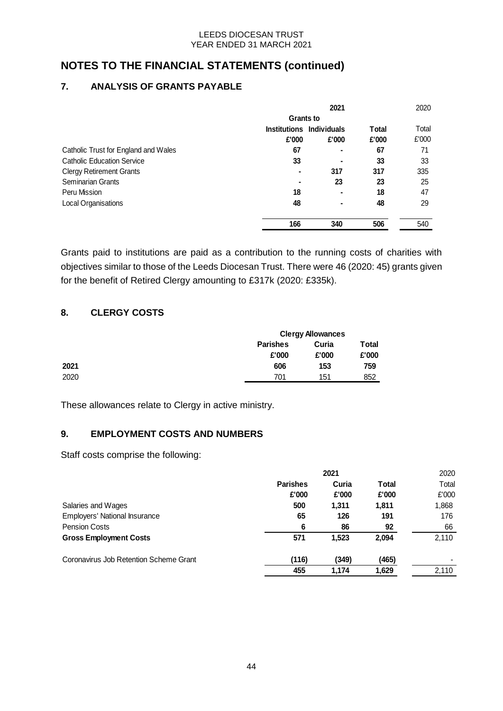## **NOTES TO THE FINANCIAL STATEMENTS (continued)**

### **7. ANALYSIS OF GRANTS PAYABLE**

|                                      | 2021                     |       |       |       |  |
|--------------------------------------|--------------------------|-------|-------|-------|--|
|                                      | <b>Grants to</b>         |       |       |       |  |
|                                      | Institutions Individuals |       | Total | Total |  |
|                                      | £'000                    | £'000 | £'000 | £'000 |  |
| Catholic Trust for England and Wales | 67                       | -     | 67    | 71    |  |
| <b>Catholic Education Service</b>    | 33                       |       | 33    | 33    |  |
| <b>Clergy Retirement Grants</b>      |                          | 317   | 317   | 335   |  |
| Seminarian Grants                    |                          | 23    | 23    | 25    |  |
| Peru Mission                         | 18                       | ۰     | 18    | 47    |  |
| Local Organisations                  | 48                       |       | 48    | 29    |  |
|                                      | 166                      | 340   | 506   | 540   |  |

Grants paid to institutions are paid as a contribution to the running costs of charities with objectives similar to those of the Leeds Diocesan Trust. There were 46 (2020: 45) grants given for the benefit of Retired Clergy amounting to £317k (2020: £335k).

### **8. CLERGY COSTS**

|      | <b>Clergy Allowances</b> |       |       |  |
|------|--------------------------|-------|-------|--|
|      | <b>Parishes</b>          | Curia | Total |  |
|      | £'000                    | £'000 | £'000 |  |
| 2021 | 606                      | 153   | 759   |  |
| 2020 | 701                      | 151   | 852   |  |

These allowances relate to Clergy in active ministry.

### **9. EMPLOYMENT COSTS AND NUMBERS**

Staff costs comprise the following:

|                                        |                 | 2020  |              |       |
|----------------------------------------|-----------------|-------|--------------|-------|
|                                        | <b>Parishes</b> | Curia | <b>Total</b> | Total |
|                                        | £'000           | £'000 | £'000        | £'000 |
| Salaries and Wages                     | 500             | 1.311 | 1,811        | 1,868 |
| <b>Employers' National Insurance</b>   | 65              | 126   | 191          | 176   |
| Pension Costs                          | 6               | 86    | 92           | 66    |
| <b>Gross Employment Costs</b>          | 571             | 1.523 | 2,094        | 2,110 |
| Coronavirus Job Retention Scheme Grant | (116)           | (349) | (465)        |       |
|                                        | 455             | 1.174 | 1,629        | 2,110 |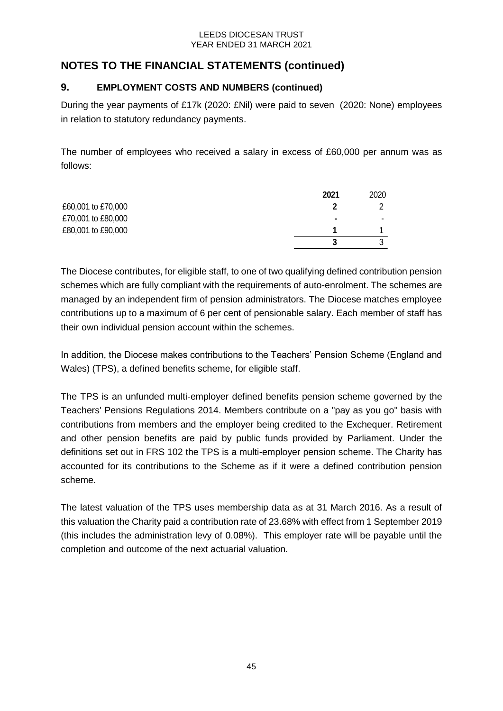## **NOTES TO THE FINANCIAL STATEMENTS (continued)**

### **9. 9. EMPLOYMENT COSTS AND NUMBERS (continued)**

During the year payments of £17k (2020: £Nil) were paid to seven (2020: None) employees in relation to statutory redundancy payments.

The number of employees who received a salary in excess of £60,000 per annum was as follows:

|                    | 2021 | 2020 |
|--------------------|------|------|
| £60,001 to £70,000 | כי   |      |
| £70,001 to £80,000 |      |      |
| £80,001 to £90,000 |      |      |
|                    |      | Ω    |

The Diocese contributes, for eligible staff, to one of two qualifying defined contribution pension schemes which are fully compliant with the requirements of auto-enrolment. The schemes are managed by an independent firm of pension administrators. The Diocese matches employee contributions up to a maximum of 6 per cent of pensionable salary. Each member of staff has their own individual pension account within the schemes.

In addition, the Diocese makes contributions to the Teachers' Pension Scheme (England and Wales) (TPS), a defined benefits scheme, for eligible staff.

The TPS is an unfunded multi-employer defined benefits pension scheme governed by the Teachers' Pensions Regulations 2014. Members contribute on a "pay as you go" basis with contributions from members and the employer being credited to the Exchequer. Retirement and other pension benefits are paid by public funds provided by Parliament. Under the definitions set out in FRS 102 the TPS is a multi-employer pension scheme. The Charity has accounted for its contributions to the Scheme as if it were a defined contribution pension scheme.

The latest valuation of the TPS uses membership data as at 31 March 2016. As a result of this valuation the Charity paid a contribution rate of 23.68% with effect from 1 September 2019 (this includes the administration levy of 0.08%). This employer rate will be payable until the completion and outcome of the next actuarial valuation.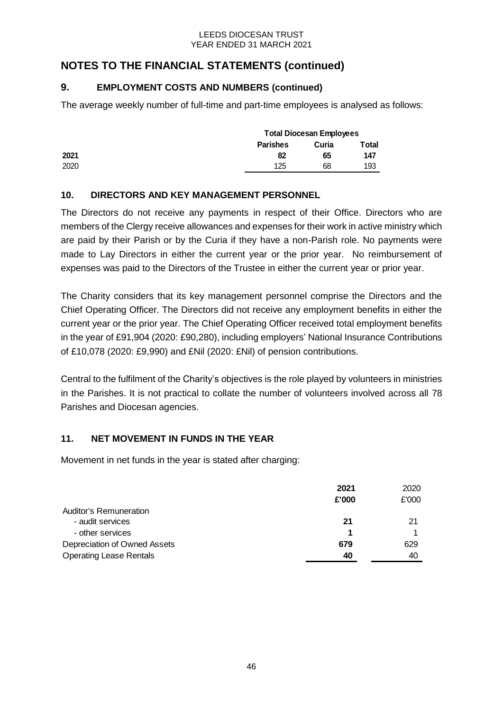## **NOTES TO THE FINANCIAL STATEMENTS (continued)**

### **10. 9. EMPLOYMENT COSTS AND NUMBERS (continued)**

The average weekly number of full-time and part-time employees is analysed as follows:

|      |                 | <b>Total Diocesan Employees</b> |       |  |  |  |
|------|-----------------|---------------------------------|-------|--|--|--|
|      | <b>Parishes</b> | Curia                           | Гotal |  |  |  |
| 2021 | 82              | 65                              | 147   |  |  |  |
| 2020 | 125             | 68                              | 193   |  |  |  |

### **10. DIRECTORS AND KEY MANAGEMENT PERSONNEL**

The Directors do not receive any payments in respect of their Office. Directors who are members of the Clergy receive allowances and expenses for their work in active ministry which are paid by their Parish or by the Curia if they have a non-Parish role. No payments were made to Lay Directors in either the current year or the prior year. No reimbursement of expenses was paid to the Directors of the Trustee in either the current year or prior year.

The Charity considers that its key management personnel comprise the Directors and the Chief Operating Officer. The Directors did not receive any employment benefits in either the current year or the prior year. The Chief Operating Officer received total employment benefits in the year of £91,904 (2020: £90,280), including employers' National Insurance Contributions of £10,078 (2020: £9,990) and £Nil (2020: £Nil) of pension contributions.

Central to the fulfilment of the Charity's objectives is the role played by volunteers in ministries in the Parishes. It is not practical to collate the number of volunteers involved across all 78 Parishes and Diocesan agencies.

### **11. NET MOVEMENT IN FUNDS IN THE YEAR**

Movement in net funds in the year is stated after charging:

|                                | 2021  | 2020  |
|--------------------------------|-------|-------|
|                                | £'000 | £'000 |
| Auditor's Remuneration         |       |       |
| - audit services               | 21    | 21    |
| - other services               |       |       |
| Depreciation of Owned Assets   | 679   | 629   |
| <b>Operating Lease Rentals</b> | 40    | 40    |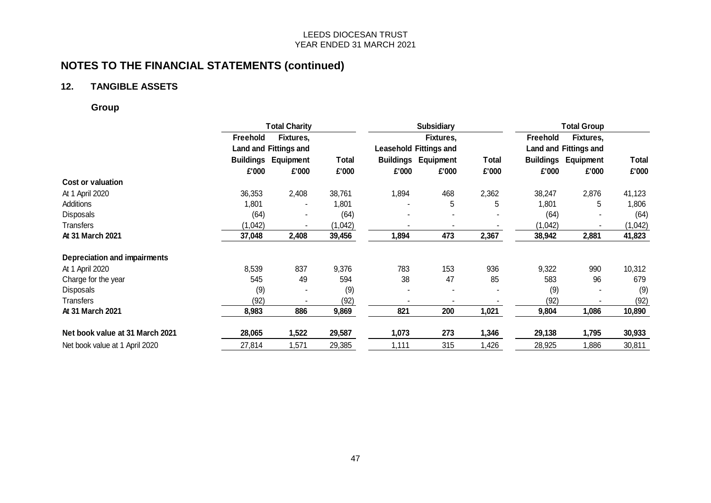## **NOTES TO THE FINANCIAL STATEMENTS (continued)**

### **12. TANGIBLE ASSETS**

### **Group**

|                                 |                 | <b>Total Charity</b>         |              | <b>Subsidiary</b> |                               |       | <b>Total Group</b> |                              |         |
|---------------------------------|-----------------|------------------------------|--------------|-------------------|-------------------------------|-------|--------------------|------------------------------|---------|
|                                 | <b>Freehold</b> | Fixtures,                    |              |                   | Fixtures,                     |       | <b>Freehold</b>    | Fixtures,                    |         |
|                                 |                 | <b>Land and Fittings and</b> |              |                   | <b>Leasehold Fittings and</b> |       |                    | <b>Land and Fittings and</b> |         |
|                                 |                 | <b>Buildings Equipment</b>   | <b>Total</b> |                   | <b>Buildings Equipment</b>    | Total | <b>Buildings</b>   | Equipment                    | Total   |
|                                 | £'000           | £'000                        | £'000        | £'000             | £'000                         | £'000 | £'000              | £'000                        | £'000   |
| <b>Cost or valuation</b>        |                 |                              |              |                   |                               |       |                    |                              |         |
| At 1 April 2020                 | 36,353          | 2,408                        | 38,761       | 1,894             | 468                           | 2,362 | 38,247             | 2,876                        | 41,123  |
| Additions                       | 1,801           |                              | 1,801        |                   | 5                             | 5     | 1,801              | 5                            | 1,806   |
| <b>Disposals</b>                | (64)            |                              | (64)         |                   |                               |       | (64)               |                              | (64)    |
| <b>Transfers</b>                | (1,042)         |                              | (1,042)      |                   |                               |       | (1,042)            | ۰.                           | (1,042) |
| At 31 March 2021                | 37,048          | 2,408                        | 39,456       | 1,894             | 473                           | 2,367 | 38,942             | 2,881                        | 41,823  |
| Depreciation and impairments    |                 |                              |              |                   |                               |       |                    |                              |         |
| At 1 April 2020                 | 8,539           | 837                          | 9,376        | 783               | 153                           | 936   | 9,322              | 990                          | 10,312  |
| Charge for the year             | 545             | 49                           | 594          | 38                | 47                            | 85    | 583                | 96                           | 679     |
| Disposals                       | (9)             |                              | (9)          |                   |                               |       | (9)                |                              | (9)     |
| Transfers                       | (92)            |                              | (92)         |                   |                               |       | (92)               |                              | (92)    |
| At 31 March 2021                | 8,983           | 886                          | 9,869        | 821               | 200                           | 1,021 | 9,804              | 1,086                        | 10,890  |
| Net book value at 31 March 2021 | 28,065          | 1,522                        | 29,587       | 1,073             | 273                           | 1,346 | 29,138             | 1,795                        | 30,933  |
| Net book value at 1 April 2020  | 27,814          | 1,571                        | 29,385       | 1,111             | 315                           | 1,426 | 28,925             | 1,886                        | 30,811  |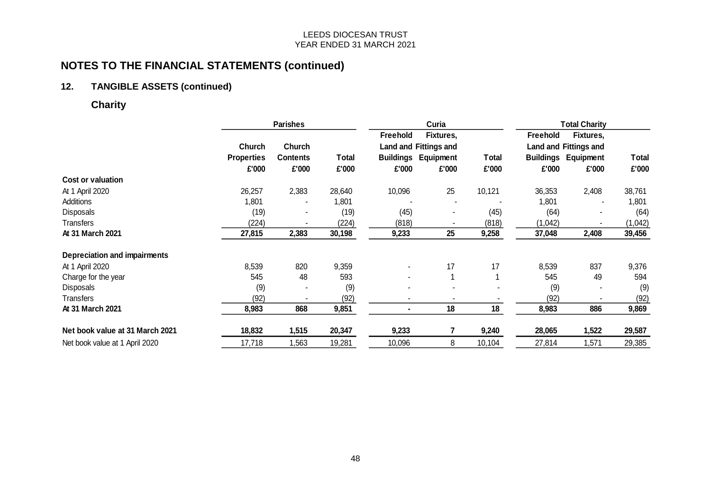## **NOTES TO THE FINANCIAL STATEMENTS (continued)**

### **12. TANGIBLE ASSETS (continued)**

### **Charity**

|                                     | <b>Parishes</b>            |                          | Curia          |                 |                                           | <b>Total Charity</b> |                 |                                           |                |
|-------------------------------------|----------------------------|--------------------------|----------------|-----------------|-------------------------------------------|----------------------|-----------------|-------------------------------------------|----------------|
|                                     | <b>Church</b>              | Church                   |                | <b>Freehold</b> | Fixtures,<br><b>Land and Fittings and</b> |                      | <b>Freehold</b> | Fixtures,<br><b>Land and Fittings and</b> |                |
|                                     | <b>Properties</b><br>£'000 | <b>Contents</b><br>£'000 | Total<br>£'000 | £'000           | <b>Buildings Equipment</b><br>£'000       | Total<br>£'000       | £'000           | <b>Buildings Equipment</b><br>£'000       | Total<br>£'000 |
| <b>Cost or valuation</b>            |                            |                          |                |                 |                                           |                      |                 |                                           |                |
| At 1 April 2020                     | 26,257                     | 2,383                    | 28,640         | 10,096          | 25                                        | 10,121               | 36,353          | 2,408                                     | 38,761         |
| Additions                           | 1,801                      |                          | 1,801          |                 |                                           |                      | 1,801           |                                           | 1,801          |
| <b>Disposals</b>                    | (19)                       |                          | (19)           | (45)            |                                           | (45)                 | (64)            | $\blacksquare$                            | (64)           |
| <b>Transfers</b>                    | (224)                      |                          | (224)          | (818)           |                                           | (818)                | (1,042)         |                                           | (1,042)        |
| At 31 March 2021                    | 27,815                     | 2,383                    | 30,198         | 9,233           | 25                                        | 9,258                | 37,048          | 2,408                                     | 39,456         |
| <b>Depreciation and impairments</b> |                            |                          |                |                 |                                           |                      |                 |                                           |                |
| At 1 April 2020                     | 8,539                      | 820                      | 9,359          |                 | 17                                        | 17                   | 8,539           | 837                                       | 9,376          |
| Charge for the year                 | 545                        | 48                       | 593            |                 |                                           |                      | 545             | 49                                        | 594            |
| <b>Disposals</b>                    | (9)                        |                          | (9)            |                 |                                           |                      | (9)             | $\overline{\phantom{a}}$                  | (9)            |
| Transfers                           | (92)                       |                          | (92)           |                 |                                           |                      | (92)            |                                           | (92)           |
| At 31 March 2021                    | 8,983                      | 868                      | 9,851          | $\blacksquare$  | 18                                        | 18                   | 8,983           | 886                                       | 9,869          |
| Net book value at 31 March 2021     | 18,832                     | 1,515                    | 20,347         | 9,233           | 7                                         | 9,240                | 28,065          | 1,522                                     | 29,587         |
| Net book value at 1 April 2020      | 17,718                     | 1,563                    | 19,281         | 10,096          | 8                                         | 10,104               | 27,814          | 1,571                                     | 29,385         |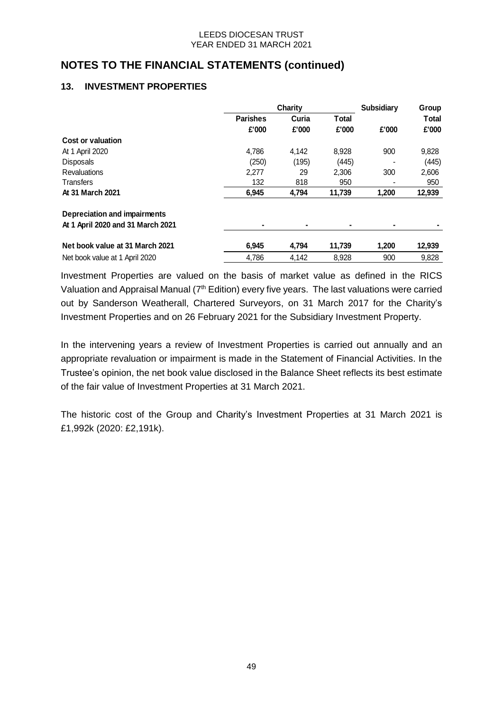## **NOTES TO THE FINANCIAL STATEMENTS (continued)**

### **13. INVESTMENT PROPERTIES**

|                                                                          | Charity         | <b>Subsidiary</b> | Group        |       |              |
|--------------------------------------------------------------------------|-----------------|-------------------|--------------|-------|--------------|
|                                                                          | <b>Parishes</b> | Curia             | <b>Total</b> |       | <b>Total</b> |
|                                                                          | £'000           | £'000             | £'000        | £'000 | £'000        |
| <b>Cost or valuation</b>                                                 |                 |                   |              |       |              |
| At 1 April 2020                                                          | 4,786           | 4.142             | 8,928        | 900   | 9,828        |
| <b>Disposals</b>                                                         | (250)           | (195)             | (445)        |       | (445)        |
| <b>Revaluations</b>                                                      | 2.277           | 29                | 2,306        | 300   | 2,606        |
| <b>Transfers</b>                                                         | 132             | 818               | 950          |       | 950          |
| At 31 March 2021                                                         | 6,945           | 4,794             | 11,739       | 1,200 | 12,939       |
| <b>Depreciation and impairments</b><br>At 1 April 2020 and 31 March 2021 |                 |                   | ۰            |       |              |
| Net book value at 31 March 2021                                          | 6.945           | 4,794             | 11,739       | 1,200 | 12,939       |
| Net book value at 1 April 2020                                           | 4.786           | 4.142             | 8,928        | 900   | 9.828        |

Investment Properties are valued on the basis of market value as defined in the RICS Valuation and Appraisal Manual (7<sup>th</sup> Edition) every five years. The last valuations were carried out by Sanderson Weatherall, Chartered Surveyors, on 31 March 2017 for the Charity's Investment Properties and on 26 February 2021 for the Subsidiary Investment Property.

In the intervening years a review of Investment Properties is carried out annually and an appropriate revaluation or impairment is made in the Statement of Financial Activities. In the Trustee's opinion, the net book value disclosed in the Balance Sheet reflects its best estimate of the fair value of Investment Properties at 31 March 2021.

The historic cost of the Group and Charity's Investment Properties at 31 March 2021 is £1,992k (2020: £2,191k).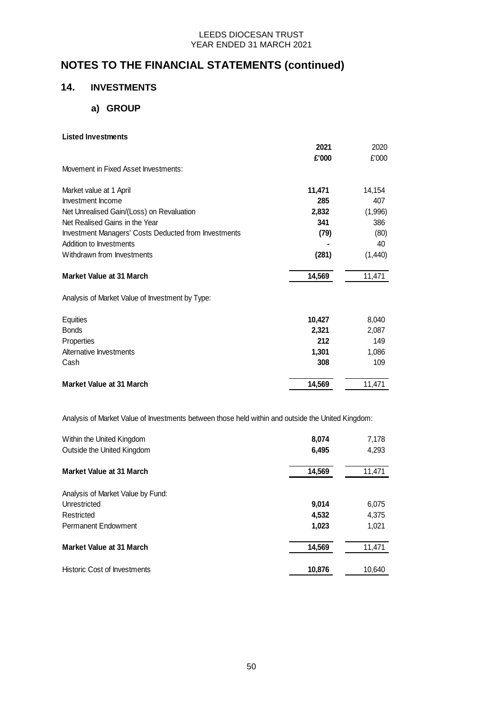## **NOTES TO THE FINANCIAL STATEMENTS (continued)**

### **14. INVESTMENTS**

### **a) GROUP**

#### **Listed Investments**

| Movement in Fixed Asset Investments:                 | 2021<br>£'000 | 2020<br>£'000 |
|------------------------------------------------------|---------------|---------------|
| Market value at 1 April                              | 11,471        | 14,154        |
| Investment Income                                    | 285           | 407           |
| Net Unrealised Gain/(Loss) on Revaluation            | 2,832         | (1,996)       |
| Net Realised Gains in the Year                       | 341           | 386           |
| Investment Managers' Costs Deducted from Investments | (79)          | (80)          |
| Addition to Investments                              |               | 40            |
| Withdrawn from Investments                           | (281)         | (1,440)       |
| Market Value at 31 March                             | 14,569        | 11,471        |
| Analysis of Market Value of Investment by Type:      |               |               |
| Equities                                             | 10,427        | 8,040         |
| <b>Bonds</b>                                         | 2,321         | 2,087         |
| Properties                                           | 212           | 149           |
| Alternative Investments                              | 1,301         | 1,086         |
| Cash                                                 | 308           | 109           |
| <b>Market Value at 31 March</b>                      | 14,569        | 11,471        |

Analysis of Market Value of Investments between those held within and outside the United Kingdom:

| Within the United Kingdom<br>Outside the United Kingdom | 8,074<br>6,495 | 7,178<br>4,293 |
|---------------------------------------------------------|----------------|----------------|
| Market Value at 31 March                                | 14,569         | 11,471         |
| Analysis of Market Value by Fund:                       |                |                |
| Unrestricted                                            | 9,014          | 6,075          |
| Restricted                                              | 4,532          | 4,375          |
| <b>Permanent Endowment</b>                              | 1,023          | 1,021          |
| Market Value at 31 March                                | 14,569         | 11,471         |
| <b>Historic Cost of Investments</b>                     | 10,876         | 10,640         |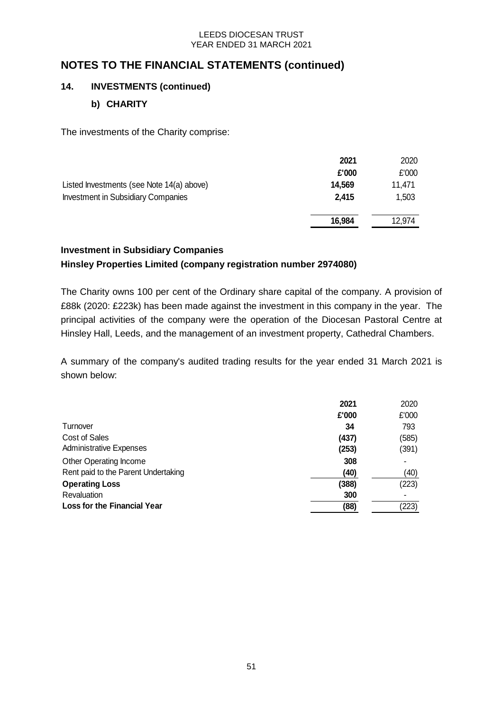## **NOTES TO THE FINANCIAL STATEMENTS (continued)**

### **14. INVESTMENTS (continued)**

### **b) CHARITY**

The investments of the Charity comprise:

|                                           | 2021   | 2020   |
|-------------------------------------------|--------|--------|
|                                           | £'000  | £'000  |
| Listed Investments (see Note 14(a) above) | 14,569 | 11,471 |
| <b>Investment in Subsidiary Companies</b> | 2,415  | 1,503  |
|                                           | 16,984 | 12,974 |

### **Investment in Subsidiary Companies Hinsley Properties Limited (company registration number 2974080)**

The Charity owns 100 per cent of the Ordinary share capital of the company. A provision of £88k (2020: £223k) has been made against the investment in this company in the year. The principal activities of the company were the operation of the Diocesan Pastoral Centre at Hinsley Hall, Leeds, and the management of an investment property, Cathedral Chambers.

A summary of the company's audited trading results for the year ended 31 March 2021 is shown below:

|                                     | 2021  | 2020  |
|-------------------------------------|-------|-------|
|                                     | £'000 | £'000 |
| Turnover                            | 34    | 793   |
| Cost of Sales                       | (437) | (585) |
| <b>Administrative Expenses</b>      | (253) | (391) |
| Other Operating Income              | 308   |       |
| Rent paid to the Parent Undertaking | (40)  | (40)  |
| <b>Operating Loss</b>               | (388) | (223) |
| Revaluation                         | 300   |       |
| <b>Loss for the Financial Year</b>  | (88)  | (223) |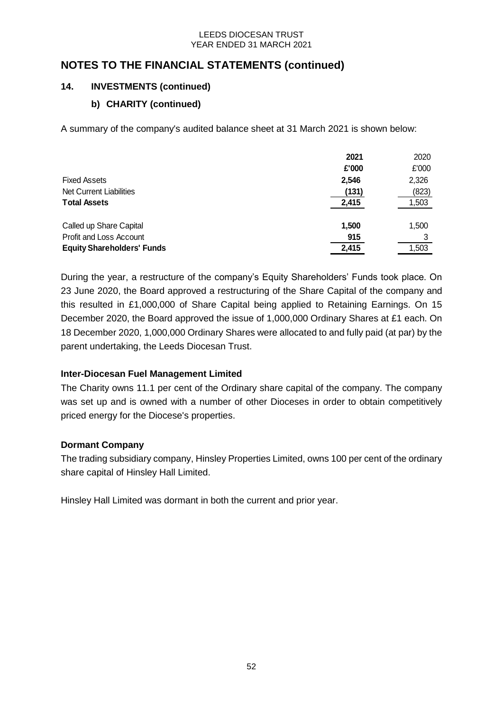## **NOTES TO THE FINANCIAL STATEMENTS (continued)**

### **14. INVESTMENTS (continued)**

### **b) CHARITY (continued)**

A summary of the company's audited balance sheet at 31 March 2021 is shown below:

|                                   | 2021  | 2020  |
|-----------------------------------|-------|-------|
|                                   | £'000 | £'000 |
| <b>Fixed Assets</b>               | 2,546 | 2,326 |
| <b>Net Current Liabilities</b>    | (131) | (823) |
| <b>Total Assets</b>               | 2,415 | 1,503 |
| Called up Share Capital           | 1,500 | 1,500 |
| Profit and Loss Account           | 915   |       |
| <b>Equity Shareholders' Funds</b> | 2,415 | 1,503 |

During the year, a restructure of the company's Equity Shareholders' Funds took place. On 23 June 2020, the Board approved a restructuring of the Share Capital of the company and this resulted in £1,000,000 of Share Capital being applied to Retaining Earnings. On 15 December 2020, the Board approved the issue of 1,000,000 Ordinary Shares at £1 each. On 18 December 2020, 1,000,000 Ordinary Shares were allocated to and fully paid (at par) by the parent undertaking, the Leeds Diocesan Trust.

### **Inter-Diocesan Fuel Management Limited**

The Charity owns 11.1 per cent of the Ordinary share capital of the company. The company was set up and is owned with a number of other Dioceses in order to obtain competitively priced energy for the Diocese's properties.

### **Dormant Company**

The trading subsidiary company, Hinsley Properties Limited, owns 100 per cent of the ordinary share capital of Hinsley Hall Limited.

Hinsley Hall Limited was dormant in both the current and prior year.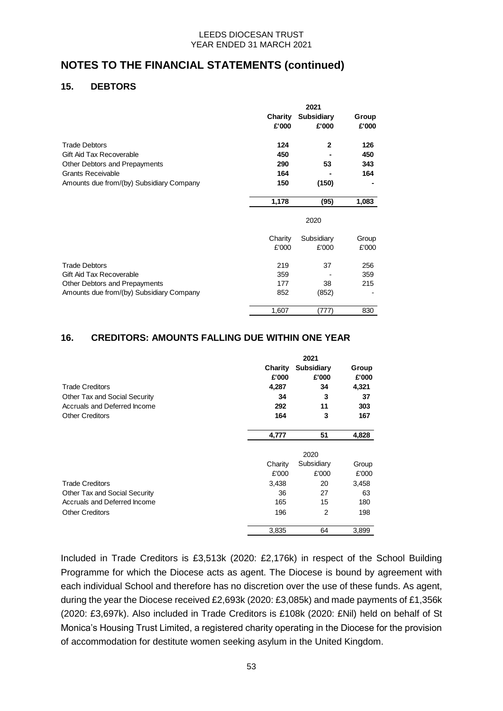### **NOTES TO THE FINANCIAL STATEMENTS (continued)**

### **15. DEBTORS**

|                                          | 2021           |                   |       |  |
|------------------------------------------|----------------|-------------------|-------|--|
|                                          | <b>Charity</b> | <b>Subsidiary</b> | Group |  |
|                                          | £'000          | £'000             | £'000 |  |
| <b>Trade Debtors</b>                     | 124            | $\mathbf{2}$      | 126   |  |
| Gift Aid Tax Recoverable                 | 450            |                   | 450   |  |
| Other Debtors and Prepayments            | 290            | 53                | 343   |  |
| <b>Grants Receivable</b>                 | 164            |                   | 164   |  |
| Amounts due from/(by) Subsidiary Company | 150            | (150)             |       |  |
|                                          | 1,178          | (95)              | 1,083 |  |
|                                          |                | 2020              |       |  |
|                                          | Charity        | Subsidiary        | Group |  |
|                                          | £'000          | £'000             | £'000 |  |
| <b>Trade Debtors</b>                     | 219            | 37                | 256   |  |
| Gift Aid Tax Recoverable                 | 359            |                   | 359   |  |
| Other Debtors and Prepayments            | 177            | 38                | 215   |  |
| Amounts due from/(by) Subsidiary Company | 852            | (852)             |       |  |
|                                          | 1,607          | (777)             | 830   |  |

### **16. CREDITORS: AMOUNTS FALLING DUE WITHIN ONE YEAR**

|                               | 2021    |                   |       |  |  |
|-------------------------------|---------|-------------------|-------|--|--|
|                               | Charity | <b>Subsidiary</b> | Group |  |  |
|                               | £'000   | £'000             | £'000 |  |  |
| <b>Trade Creditors</b>        | 4,287   | 34                | 4,321 |  |  |
| Other Tax and Social Security | 34      | 3                 | 37    |  |  |
| Accruals and Deferred Income  | 292     | 11                | 303   |  |  |
| <b>Other Creditors</b>        | 164     | 3                 | 167   |  |  |
|                               | 4,777   | 51                | 4,828 |  |  |
|                               | 2020    |                   |       |  |  |
|                               | Charity | Subsidiary        | Group |  |  |
|                               | £'000   | £'000             | £'000 |  |  |
| <b>Trade Creditors</b>        | 3,438   | 20                | 3,458 |  |  |
| Other Tax and Social Security | 36      | 27                | 63    |  |  |
| Accruals and Deferred Income  | 165     | 15                | 180   |  |  |
| <b>Other Creditors</b>        | 196     | 2                 | 198   |  |  |
|                               | 3,835   | 64                | 3,899 |  |  |

Included in Trade Creditors is £3,513k (2020: £2,176k) in respect of the School Building Programme for which the Diocese acts as agent. The Diocese is bound by agreement with each individual School and therefore has no discretion over the use of these funds. As agent, during the year the Diocese received £2,693k (2020: £3,085k) and made payments of £1,356k (2020: £3,697k). Also included in Trade Creditors is £108k (2020: £Nil) held on behalf of St Monica's Housing Trust Limited, a registered charity operating in the Diocese for the provision of accommodation for destitute women seeking asylum in the United Kingdom.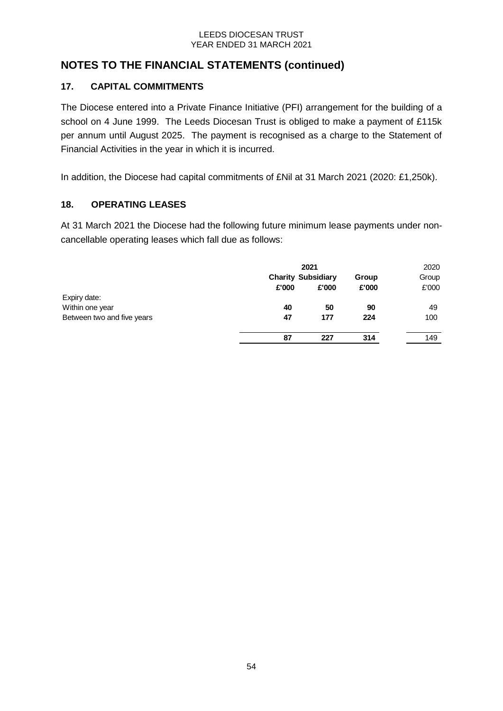## **NOTES TO THE FINANCIAL STATEMENTS (continued)**

### **17. CAPITAL COMMITMENTS**

The Diocese entered into a Private Finance Initiative (PFI) arrangement for the building of a school on 4 June 1999. The Leeds Diocesan Trust is obliged to make a payment of £115k per annum until August 2025. The payment is recognised as a charge to the Statement of Financial Activities in the year in which it is incurred.

In addition, the Diocese had capital commitments of £Nil at 31 March 2021 (2020: £1,250k).

### **18. OPERATING LEASES**

At 31 March 2021 the Diocese had the following future minimum lease payments under noncancellable operating leases which fall due as follows:

|                            | 2021  |                           | 2020  |       |
|----------------------------|-------|---------------------------|-------|-------|
|                            |       | <b>Charity Subsidiary</b> |       | Group |
|                            | £'000 | £'000                     | £'000 | £'000 |
| Expiry date:               |       |                           |       |       |
| Within one year            | 40    | 50                        | 90    | 49    |
| Between two and five years | 47    | 177                       | 224   | 100   |
|                            | 87    | 227                       | 314   | 149   |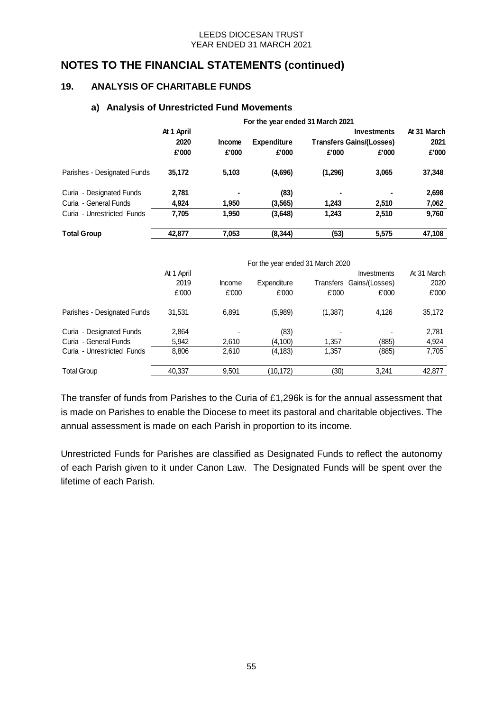### **NOTES TO THE FINANCIAL STATEMENTS (continued)**

### **19. ANALYSIS OF CHARITABLE FUNDS**

#### **a) Analysis of Unrestricted Fund Movements**

|                             |            |        | For the year ended 31 March 2021 |                                 |                    |             |
|-----------------------------|------------|--------|----------------------------------|---------------------------------|--------------------|-------------|
|                             | At 1 April |        |                                  |                                 | <b>Investments</b> | At 31 March |
|                             | 2020       | Income | <b>Expenditure</b>               | <b>Transfers Gains/(Losses)</b> |                    | 2021        |
|                             | £'000      | £'000  | £'000                            | £'000                           | £'000              | £'000       |
| Parishes - Designated Funds | 35,172     | 5,103  | (4,696)                          | (1,296)                         | 3,065              | 37,348      |
| Curia - Designated Funds    | 2,781      | ۰      | (83)                             |                                 |                    | 2,698       |
| Curia - General Funds       | 4,924      | 1,950  | (3, 565)                         | 1.243                           | 2,510              | 7,062       |
| Curia - Unrestricted Funds  | 7,705      | 1,950  | (3,648)                          | 1,243                           | 2,510              | 9,760       |
| <b>Total Group</b>          | 42,877     | 7,053  | (8, 344)                         | (53)                            | 5,575              | 47,108      |
|                             |            |        |                                  |                                 |                    |             |

|                             | For the year ended 31 March 2020 |        |             |           |                |             |  |
|-----------------------------|----------------------------------|--------|-------------|-----------|----------------|-------------|--|
|                             | At 1 April                       |        |             |           | Investments    | At 31 March |  |
|                             | 2019                             | Income | Expenditure | Transfers | Gains/(Losses) | 2020        |  |
|                             | £'000                            | £'000  | £'000       | £'000     | £'000          | £'000       |  |
| Parishes - Designated Funds | 31,531                           | 6,891  | (5,989)     | (1, 387)  | 4,126          | 35,172      |  |
| Curia - Designated Funds    | 2,864                            |        | (83)        |           |                | 2,781       |  |
| Curia - General Funds       | 5,942                            | 2.610  | (4, 100)    | 1.357     | (885)          | 4,924       |  |
| Curia - Unrestricted Funds  | 8,806                            | 2,610  | (4, 183)    | 1,357     | (885)          | 7,705       |  |
| <b>Total Group</b>          | 40,337                           | 9,501  | (10, 172)   | (30)      | 3,241          | 42,877      |  |

The transfer of funds from Parishes to the Curia of £1,296k is for the annual assessment that is made on Parishes to enable the Diocese to meet its pastoral and charitable objectives. The annual assessment is made on each Parish in proportion to its income.

Unrestricted Funds for Parishes are classified as Designated Funds to reflect the autonomy of each Parish given to it under Canon Law. The Designated Funds will be spent over the lifetime of each Parish.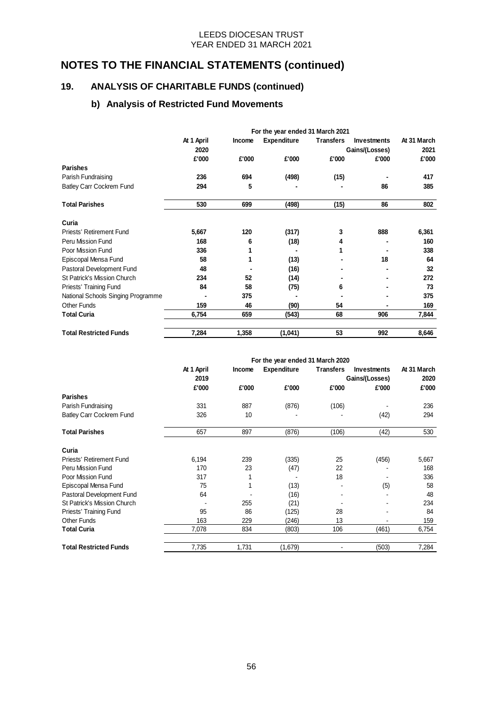## **NOTES TO THE FINANCIAL STATEMENTS (continued)**

### **19. ANALYSIS OF CHARITABLE FUNDS (continued)**

### **b) Analysis of Restricted Fund Movements**

|                                    | For the year ended 31 March 2021 |        |                    |                  |                    |             |  |
|------------------------------------|----------------------------------|--------|--------------------|------------------|--------------------|-------------|--|
|                                    | At 1 April                       | Income | <b>Expenditure</b> | <b>Transfers</b> | <b>Investments</b> | At 31 March |  |
|                                    | 2020                             |        |                    |                  | Gains/(Losses)     | 2021        |  |
|                                    | £'000                            | £'000  | £'000              | £'000            | £'000              | £'000       |  |
| <b>Parishes</b>                    |                                  |        |                    |                  |                    |             |  |
| Parish Fundraising                 | 236                              | 694    | (498)              | (15)             |                    | 417         |  |
| Batley Carr Cockrem Fund           | 294                              | 5      |                    |                  | 86                 | 385         |  |
| <b>Total Parishes</b>              | 530                              | 699    | (498)              | (15)             | 86                 | 802         |  |
| Curia                              |                                  |        |                    |                  |                    |             |  |
| Priests' Retirement Fund           | 5,667                            | 120    | (317)              | 3                | 888                | 6,361       |  |
| Peru Mission Fund                  | 168                              | 6      | (18)               | 4                |                    | 160         |  |
| Poor Mission Fund                  | 336                              | 1      |                    | 1                |                    | 338         |  |
| Episcopal Mensa Fund               | 58                               | 1      | (13)               |                  | 18                 | 64          |  |
| Pastoral Development Fund          | 48                               |        | (16)               |                  |                    | 32          |  |
| St Patrick's Mission Church        | 234                              | 52     | (14)               |                  |                    | 272         |  |
| Priests' Training Fund             | 84                               | 58     | (75)               | 6                |                    | 73          |  |
| National Schools Singing Programme |                                  | 375    |                    |                  |                    | 375         |  |
| <b>Other Funds</b>                 | 159                              | 46     | (90)               | 54               |                    | 169         |  |
| <b>Total Curia</b>                 | 6,754                            | 659    | (543)              | 68               | 906                | 7,844       |  |
| <b>Total Restricted Funds</b>      | 7,284                            | 1,358  | (1,041)            | 53               | 992                | 8,646       |  |

|                               | For the year ended 31 March 2020 |        |         |                  |                                      |                     |  |
|-------------------------------|----------------------------------|--------|---------|------------------|--------------------------------------|---------------------|--|
|                               | At 1 April<br>2019               | Income |         | <b>Transfers</b> | <b>Investments</b><br>Gains/(Losses) | At 31 March<br>2020 |  |
|                               | £'000                            | £'000  | £'000   | £'000            | £'000                                | £'000               |  |
| <b>Parishes</b>               |                                  |        |         |                  |                                      |                     |  |
| Parish Fundraising            | 331                              | 887    | (876)   | (106)            |                                      | 236                 |  |
| Batley Carr Cockrem Fund      | 326                              | 10     |         |                  | (42)                                 | 294                 |  |
| <b>Total Parishes</b>         | 657                              | 897    | (876)   | (106)            | (42)                                 | 530                 |  |
| Curia                         |                                  |        |         |                  |                                      |                     |  |
| Priests' Retirement Fund      | 6,194                            | 239    | (335)   | 25               | (456)                                | 5,667               |  |
| Peru Mission Fund             | 170                              | 23     | (47)    | 22               |                                      | 168                 |  |
| Poor Mission Fund             | 317                              |        |         | 18               |                                      | 336                 |  |
| Episcopal Mensa Fund          | 75                               | 1      | (13)    |                  | (5)                                  | 58                  |  |
| Pastoral Development Fund     | 64                               |        | (16)    |                  |                                      | 48                  |  |
| St Patrick's Mission Church   |                                  | 255    | (21)    |                  |                                      | 234                 |  |
| Priests' Training Fund        | 95                               | 86     | (125)   | 28               |                                      | 84                  |  |
| Other Funds                   | 163                              | 229    | (246)   | 13               |                                      | 159                 |  |
| <b>Total Curia</b>            | 7,078                            | 834    | (803)   | 106              | (461)                                | 6,754               |  |
| <b>Total Restricted Funds</b> | 7,735                            | 1,731  | (1,679) |                  | (503)                                | 7,284               |  |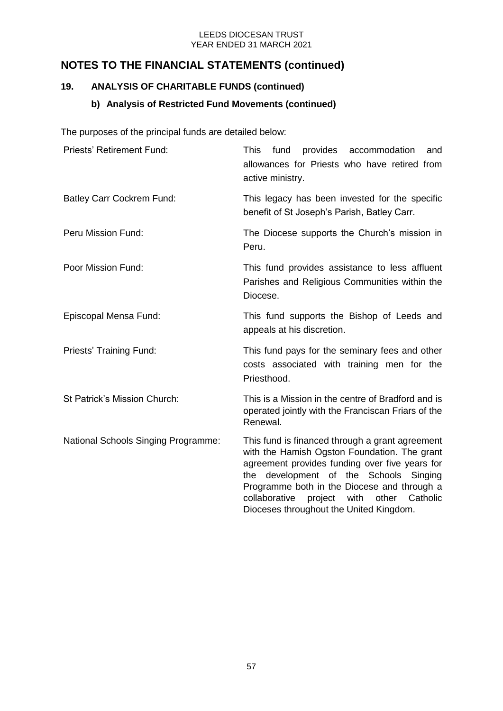## **NOTES TO THE FINANCIAL STATEMENTS (continued)**

### **19. ANALYSIS OF CHARITABLE FUNDS (continued)**

### **b) Analysis of Restricted Fund Movements (continued)**

The purposes of the principal funds are detailed below:

| <b>Priests' Retirement Fund:</b>           | <b>This</b><br>provides accommodation<br>fund<br>and<br>allowances for Priests who have retired from<br>active ministry.                                                                                                                                                                                                                          |  |  |  |  |  |  |  |  |  |
|--------------------------------------------|---------------------------------------------------------------------------------------------------------------------------------------------------------------------------------------------------------------------------------------------------------------------------------------------------------------------------------------------------|--|--|--|--|--|--|--|--|--|
| <b>Batley Carr Cockrem Fund:</b>           | This legacy has been invested for the specific<br>benefit of St Joseph's Parish, Batley Carr.                                                                                                                                                                                                                                                     |  |  |  |  |  |  |  |  |  |
| Peru Mission Fund:                         | The Diocese supports the Church's mission in<br>Peru.                                                                                                                                                                                                                                                                                             |  |  |  |  |  |  |  |  |  |
| Poor Mission Fund:                         | This fund provides assistance to less affluent<br>Parishes and Religious Communities within the<br>Diocese.                                                                                                                                                                                                                                       |  |  |  |  |  |  |  |  |  |
| Episcopal Mensa Fund:                      | This fund supports the Bishop of Leeds and<br>appeals at his discretion.                                                                                                                                                                                                                                                                          |  |  |  |  |  |  |  |  |  |
| Priests' Training Fund:                    | This fund pays for the seminary fees and other<br>costs associated with training men for the<br>Priesthood.                                                                                                                                                                                                                                       |  |  |  |  |  |  |  |  |  |
| St Patrick's Mission Church:               | This is a Mission in the centre of Bradford and is<br>operated jointly with the Franciscan Friars of the<br>Renewal.                                                                                                                                                                                                                              |  |  |  |  |  |  |  |  |  |
| <b>National Schools Singing Programme:</b> | This fund is financed through a grant agreement<br>with the Hamish Ogston Foundation. The grant<br>agreement provides funding over five years for<br>development of the Schools Singing<br>the<br>Programme both in the Diocese and through a<br>Catholic<br>collaborative<br>project<br>with<br>other<br>Dioceses throughout the United Kingdom. |  |  |  |  |  |  |  |  |  |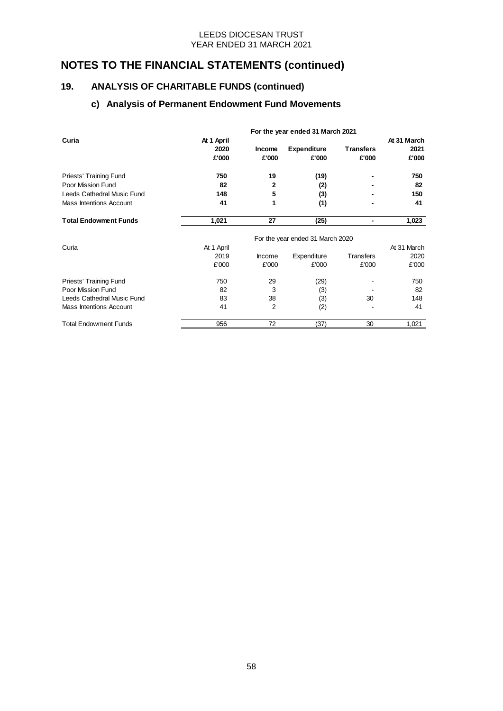## **NOTES TO THE FINANCIAL STATEMENTS (continued)**

### **19. ANALYSIS OF CHARITABLE FUNDS (continued)**

### **c) Analysis of Permanent Endowment Fund Movements**

|                              | For the year ended 31 March 2021 |        |                    |                  |             |  |  |  |  |  |
|------------------------------|----------------------------------|--------|--------------------|------------------|-------------|--|--|--|--|--|
| Curia                        | At 1 April                       |        | At 31 March        |                  |             |  |  |  |  |  |
|                              | 2020                             | Income | <b>Expenditure</b> | <b>Transfers</b> | 2021        |  |  |  |  |  |
|                              | £'000                            | £'000  | £'000              | £'000            | £'000       |  |  |  |  |  |
| Priests' Training Fund       | 750                              | 19     | (19)               |                  | 750         |  |  |  |  |  |
| Poor Mission Fund            | 82                               | 2      | (2)                |                  | 82          |  |  |  |  |  |
| Leeds Cathedral Music Fund   | 148                              | 5      | (3)                |                  | 150         |  |  |  |  |  |
| Mass Intentions Account      | 41                               | 1      | (1)                |                  | 41          |  |  |  |  |  |
| <b>Total Endowment Funds</b> | 1,021                            | 27     | (25)               | $\blacksquare$   | 1,023       |  |  |  |  |  |
|                              | For the year ended 31 March 2020 |        |                    |                  |             |  |  |  |  |  |
| Curia                        | At 1 April                       |        |                    |                  | At 31 March |  |  |  |  |  |
|                              | 2019                             | Income | Expenditure        | <b>Transfers</b> | 2020        |  |  |  |  |  |
|                              | £'000                            | £'000  | £'000              | £'000            | £'000       |  |  |  |  |  |
| Priests' Training Fund       | 750                              | 29     | (29)               |                  | 750         |  |  |  |  |  |
| Poor Mission Fund            | 82                               | 3      | (3)                |                  | 82          |  |  |  |  |  |
| Leeds Cathedral Music Fund   | 83                               | 38     | (3)                | 30               | 148         |  |  |  |  |  |
| Mass Intentions Account      | 41                               | 2      | (2)                |                  | 41          |  |  |  |  |  |
| <b>Total Endowment Funds</b> | 956                              | 72     | (37)               | 30               | 1,021       |  |  |  |  |  |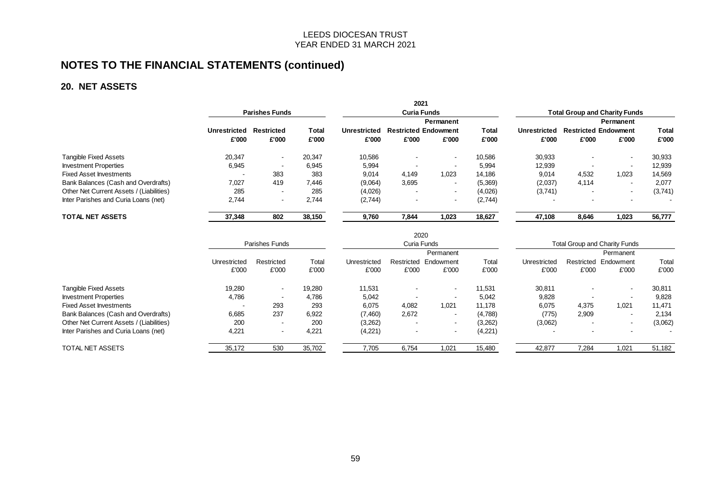## **NOTES TO THE FINANCIAL STATEMENTS (continued)**

### **20. NET ASSETS**

|                                          |              |                          |        |                    | 2021                        |                          |         |                                      |                             |                          |         |
|------------------------------------------|--------------|--------------------------|--------|--------------------|-----------------------------|--------------------------|---------|--------------------------------------|-----------------------------|--------------------------|---------|
|                                          |              | <b>Parishes Funds</b>    |        | <b>Curia Funds</b> |                             |                          |         | <b>Total Group and Charity Funds</b> |                             |                          |         |
|                                          |              |                          |        |                    |                             | Permanent                |         | Permanent                            |                             |                          |         |
|                                          | Unrestricted | <b>Restricted</b>        | Total  | Unrestricted       | <b>Restricted Endowment</b> |                          | Total   | Unrestricted                         | <b>Restricted Endowment</b> |                          | Total   |
|                                          | £'000        | £'000                    | £'000  | £'000              | £'000                       | £'000                    | £'000   | £'000                                | £'000                       | £'000                    | £'000   |
| <b>Tangible Fixed Assets</b>             | 20.347       | $\sim$                   | 20,347 | 10,586             | $\overline{\phantom{0}}$    | $\overline{\phantom{a}}$ | 10,586  | 30,933                               | $\overline{\phantom{a}}$    | $\overline{\phantom{a}}$ | 30,933  |
| <b>Investment Properties</b>             | 6,945        |                          | 6,945  | 5,994              |                             |                          | 5,994   | 12,939                               |                             | $\overline{\phantom{a}}$ | 12,939  |
| <b>Fixed Asset Investments</b>           |              | 383                      | 383    | 9,014              | 4,149                       | 1.023                    | 14.186  | 9,014                                | 4,532                       | 1,023                    | 14,569  |
| Bank Balances (Cash and Overdrafts)      | 7,027        | 419                      | 7.446  | (9,064)            | 3,695                       | $\blacksquare$           | (5,369) | (2,037)                              | 4,114                       | $\,$                     | 2,077   |
| Other Net Current Assets / (Liabilities) | 285          | $\sim$                   | 285    | (4,026)            | -                           | $\overline{\phantom{a}}$ | (4,026) | (3,741)                              |                             | $\overline{\phantom{a}}$ | (3,741) |
| Inter Parishes and Curia Loans (net)     | 2,744        | $\overline{\phantom{a}}$ | 2,744  | (2,744)            | $\blacksquare$              | $\blacksquare$           | (2,744) |                                      |                             | -                        |         |
| <b>TOTAL NET ASSETS</b>                  | 37.348       | 802                      | 38,150 | 9,760              | 7,844                       | 1,023                    | 18,627  | 47,108                               | 8.646                       | 1,023                    | 56,777  |

|                                          |                          |                          |                |                       |                          | 2020                     |                |                       |                                      |                          |                |  |
|------------------------------------------|--------------------------|--------------------------|----------------|-----------------------|--------------------------|--------------------------|----------------|-----------------------|--------------------------------------|--------------------------|----------------|--|
|                                          |                          | Parishes Funds           |                |                       | Curia Funds              |                          |                |                       | <b>Total Group and Charity Funds</b> |                          |                |  |
|                                          |                          |                          |                |                       | Permanent                |                          |                |                       | Permanent                            |                          |                |  |
|                                          | Unrestricted<br>£'000    | Restricted               | Total<br>£'000 | Unrestricted<br>£'000 |                          | Restricted Endowment     | Total<br>£'000 | Unrestricted<br>£'000 | Restricted<br>£'000                  | Endowment<br>£'000       | Total<br>£'000 |  |
|                                          |                          | £'000                    |                |                       | £'000                    | £'000                    |                |                       |                                      |                          |                |  |
| <b>Tangible Fixed Assets</b>             | 19,280                   | $\blacksquare$           | 19,280         | 11,531                | $\sim$                   | $\sim$                   | 11,531         | 30,811                |                                      | $\blacksquare$           | 30,811         |  |
| <b>Investment Properties</b>             | 4.786                    |                          | 4.786          | 5,042                 | $\sim$                   |                          | 5.042          | 9,828                 |                                      | $\overline{\phantom{a}}$ | 9,828          |  |
| Fixed Asset Investments                  | $\overline{\phantom{0}}$ | 293                      | 293            | 6,075                 | 4,082                    | 1,021                    | 11,178         | 6,075                 | 4,375                                | 1,021                    | 11,471         |  |
| Bank Balances (Cash and Overdrafts)      | 6,685                    | 237                      | 6.922          | (7,460)               | 2,672                    | $\sim$                   | (4,788)        | (775)                 | 2,909                                | $\sim$                   | 2,134          |  |
| Other Net Current Assets / (Liabilities) | 200                      | $\overline{\phantom{a}}$ | 200            | (3,262)               | $\overline{\phantom{a}}$ | $\overline{\phantom{a}}$ | (3,262)        | (3,062)               | . .                                  | $\overline{\phantom{a}}$ | (3,062)        |  |
| Inter Parishes and Curia Loans (net)     | 4,221                    | $\overline{\phantom{a}}$ | 4.221          | (4,221)               | $\sim$                   | $\overline{\phantom{a}}$ | (4,221)        |                       |                                      |                          |                |  |
| TOTAL NET ASSETS                         | 35,172                   | 530                      | 35,702         | 7,705                 | 6,754                    | 1,021                    | 15,480         | 42,877                | 7,284                                | 1,021                    | 51,182         |  |